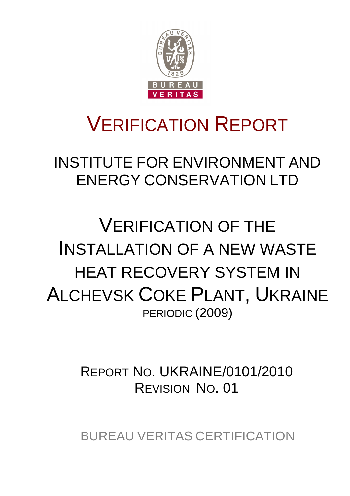

# VERIFICATION REPORT

INSTITUTE FOR ENVIRONMENT AND ENERGY CONSERVATION LTD

VERIFICATION OF THE INSTALLATION OF A NEW WASTE HEAT RECOVERY SYSTEM IN ALCHEVSK COKE PLANT, UKRAINE PERIODIC (2009)

> REPORT NO. UKRAINE/0101/2010 REVISION NO. 01

> BUREAU VERITAS CERTIFICATION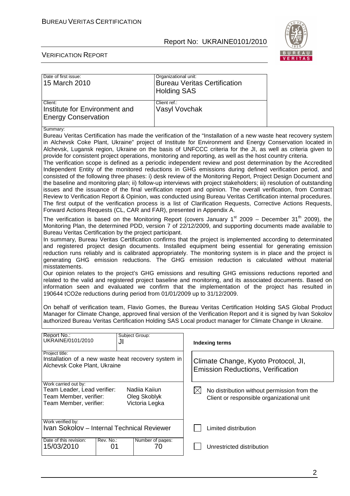

 $\overline{\phantom{a}}$ 

#### VERIFICATION REPORT

| Date of first issue:<br>15 March 2010                                                                                                        | Organizational unit:<br><b>Holding SAS</b>      | <b>Bureau Veritas Certification</b>                                                                                                                                                                                                                                                                                                                                                                                                                                                                                                                                                                                                                                                                                                                                                                                                                                                                                                                                                                                                                                                                                                                                                                                                                                                                                                                                                                                                                                                                                                                                                                                                                                                                                                                                                                                                                                   |  |
|----------------------------------------------------------------------------------------------------------------------------------------------|-------------------------------------------------|-----------------------------------------------------------------------------------------------------------------------------------------------------------------------------------------------------------------------------------------------------------------------------------------------------------------------------------------------------------------------------------------------------------------------------------------------------------------------------------------------------------------------------------------------------------------------------------------------------------------------------------------------------------------------------------------------------------------------------------------------------------------------------------------------------------------------------------------------------------------------------------------------------------------------------------------------------------------------------------------------------------------------------------------------------------------------------------------------------------------------------------------------------------------------------------------------------------------------------------------------------------------------------------------------------------------------------------------------------------------------------------------------------------------------------------------------------------------------------------------------------------------------------------------------------------------------------------------------------------------------------------------------------------------------------------------------------------------------------------------------------------------------------------------------------------------------------------------------------------------------|--|
| Client:<br>Institute for Environment and<br><b>Energy Conservation</b>                                                                       | Client ref.:<br>Vasyl Vovchak                   |                                                                                                                                                                                                                                                                                                                                                                                                                                                                                                                                                                                                                                                                                                                                                                                                                                                                                                                                                                                                                                                                                                                                                                                                                                                                                                                                                                                                                                                                                                                                                                                                                                                                                                                                                                                                                                                                       |  |
| Summary:<br>Forward Actions Requests (CL, CAR and FAR), presented in Appendix A.<br>Bureau Veritas Certification by the project participant. |                                                 | Bureau Veritas Certification has made the verification of the "Installation of a new waste heat recovery system<br>in Alchevsk Coke Plant, Ukraine" project of Institute for Environment and Energy Conservation located in<br>Alchevsk, Lugansk region, Ukraine on the basis of UNFCCC criteria for the JI, as well as criteria given to<br>provide for consistent project operations, monitoring and reporting, as well as the host country criteria.<br>The verification scope is defined as a periodic independent review and post determination by the Accredited<br>Independent Entity of the monitored reductions in GHG emissions during defined verification period, and<br>consisted of the following three phases: i) desk review of the Monitoring Report, Project Design Document and<br>the baseline and monitoring plan; ii) follow-up interviews with project stakeholders; iii) resolution of outstanding<br>issues and the issuance of the final verification report and opinion. The overall verification, from Contract<br>Review to Verification Report & Opinion, was conducted using Bureau Veritas Certification internal procedures.<br>The first output of the verification process is a list of Clarification Requests, Corrective Actions Requests,<br>The verification is based on the Monitoring Report (covers January 1 <sup>st</sup> 2009 – December 31 <sup>th</sup> 2009), the<br>Monitoring Plan, the determined PDD, version 7 of 22/12/2009, and supporting documents made available to<br>In summary, Bureau Veritas Certification confirms that the project is implemented according to determinated<br>and registered project design documents. Installed equipment being essential for generating emission<br>reduction runs reliably and is calibrated appropriately. The monitoring system is in place and the project is |  |
| misstatements.<br>190644 tCO2e reductions during period from 01/01/2009 up to 31/12/2009.                                                    |                                                 | generating GHG emission reductions. The GHG emission reduction is calculated without material<br>Our opinion relates to the project's GHG emissions and resulting GHG emissions reductions reported and<br>related to the valid and registered project baseline and monitoring, and its associated documents. Based on<br>information seen and evaluated we confirm that the implementation of the project has resulted in                                                                                                                                                                                                                                                                                                                                                                                                                                                                                                                                                                                                                                                                                                                                                                                                                                                                                                                                                                                                                                                                                                                                                                                                                                                                                                                                                                                                                                            |  |
|                                                                                                                                              |                                                 | On behalf of verification team, Flavio Gomes, the Bureau Veritas Certification Holding SAS Global Product<br>Manager for Climate Change, approved final version of the Verification Report and it is signed by Ivan Sokolov<br>authorized Bureau Veritas Certification Holding SAS Local product manager for Climate Change in Ukraine.                                                                                                                                                                                                                                                                                                                                                                                                                                                                                                                                                                                                                                                                                                                                                                                                                                                                                                                                                                                                                                                                                                                                                                                                                                                                                                                                                                                                                                                                                                                               |  |
| Report No.:<br>UKRAINE/0101/2010<br>JI                                                                                                       | Subject Group:                                  | <b>Indexing terms</b>                                                                                                                                                                                                                                                                                                                                                                                                                                                                                                                                                                                                                                                                                                                                                                                                                                                                                                                                                                                                                                                                                                                                                                                                                                                                                                                                                                                                                                                                                                                                                                                                                                                                                                                                                                                                                                                 |  |
| Project title:<br>Installation of a new waste heat recovery system in<br>Alchevsk Coke Plant, Ukraine                                        |                                                 | Climate Change, Kyoto Protocol, JI,<br><b>Emission Reductions, Verification</b>                                                                                                                                                                                                                                                                                                                                                                                                                                                                                                                                                                                                                                                                                                                                                                                                                                                                                                                                                                                                                                                                                                                                                                                                                                                                                                                                                                                                                                                                                                                                                                                                                                                                                                                                                                                       |  |
| Work carried out by:<br>Team Leader, Lead verifier:<br>Team Member, verifier:<br>Team Member, verifier:                                      | Nadiia Kaiiun<br>Oleg Skoblyk<br>Victoria Legka | $\boxtimes$<br>No distribution without permission from the<br>Client or responsible organizational unit                                                                                                                                                                                                                                                                                                                                                                                                                                                                                                                                                                                                                                                                                                                                                                                                                                                                                                                                                                                                                                                                                                                                                                                                                                                                                                                                                                                                                                                                                                                                                                                                                                                                                                                                                               |  |
| Work verified by:<br>Ivan Sokolov - Internal Technical Reviewer                                                                              |                                                 | Limited distribution                                                                                                                                                                                                                                                                                                                                                                                                                                                                                                                                                                                                                                                                                                                                                                                                                                                                                                                                                                                                                                                                                                                                                                                                                                                                                                                                                                                                                                                                                                                                                                                                                                                                                                                                                                                                                                                  |  |
| Date of this revision:<br>Rev. No.:<br>15/03/2010<br>01                                                                                      | Number of pages:<br>70                          | Unrestricted distribution                                                                                                                                                                                                                                                                                                                                                                                                                                                                                                                                                                                                                                                                                                                                                                                                                                                                                                                                                                                                                                                                                                                                                                                                                                                                                                                                                                                                                                                                                                                                                                                                                                                                                                                                                                                                                                             |  |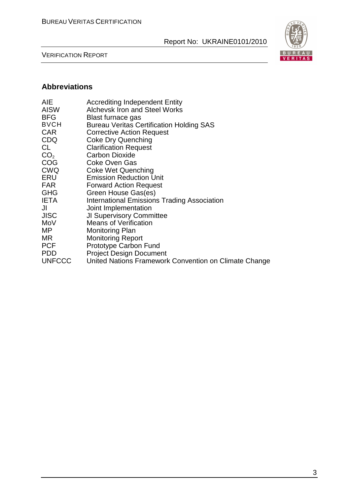VERIFICATION REPORT



## **Abbreviations**

| <b>Accrediting Independent Entity</b><br><b>Alchevsk Iron and Steel Works</b><br>Blast furnace gas<br><b>Bureau Veritas Certification Holding SAS</b><br><b>Corrective Action Request</b><br><b>Coke Dry Quenching</b><br><b>Clarification Request</b><br><b>Carbon Dioxide</b><br><b>Coke Oven Gas</b><br>Coke Wet Quenching<br><b>Emission Reduction Unit</b><br><b>Forward Action Request</b><br>Green House Gas(es)<br><b>International Emissions Trading Association</b><br>Joint Implementation<br><b>JI Supervisory Committee</b> |
|------------------------------------------------------------------------------------------------------------------------------------------------------------------------------------------------------------------------------------------------------------------------------------------------------------------------------------------------------------------------------------------------------------------------------------------------------------------------------------------------------------------------------------------|
|                                                                                                                                                                                                                                                                                                                                                                                                                                                                                                                                          |
|                                                                                                                                                                                                                                                                                                                                                                                                                                                                                                                                          |
| <b>Means of Verification</b>                                                                                                                                                                                                                                                                                                                                                                                                                                                                                                             |
| Monitoring Plan                                                                                                                                                                                                                                                                                                                                                                                                                                                                                                                          |
| <b>Monitoring Report</b><br><b>Prototype Carbon Fund</b>                                                                                                                                                                                                                                                                                                                                                                                                                                                                                 |
| <b>Project Design Document</b>                                                                                                                                                                                                                                                                                                                                                                                                                                                                                                           |
| United Nations Framework Convention on Climate Change                                                                                                                                                                                                                                                                                                                                                                                                                                                                                    |
|                                                                                                                                                                                                                                                                                                                                                                                                                                                                                                                                          |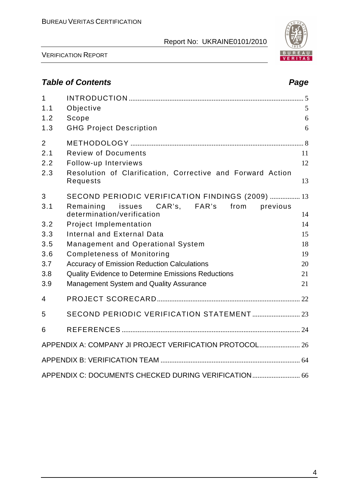

VERIFICATION REPORT

# **Table of Contents Page 2018**

| 1              |                                                                        |                |
|----------------|------------------------------------------------------------------------|----------------|
| 1.1            | Objective                                                              | $\mathfrak{S}$ |
| 1.2            | Scope                                                                  | 6              |
| 1.3            | <b>GHG Project Description</b>                                         | 6              |
| $\overline{2}$ |                                                                        |                |
| 2.1            | <b>Review of Documents</b>                                             | 11             |
| 2.2            | Follow-up Interviews                                                   | 12             |
| 2.3            | Resolution of Clarification, Corrective and Forward Action<br>Requests | 13             |
| 3              | SECOND PERIODIC VERIFICATION FINDINGS (2009)  13                       |                |
| 3.1            | CAR's, FAR's from<br>Remaining issues<br>previous                      |                |
|                | determination/verification                                             | 14             |
| 3.2            | <b>Project Implementation</b>                                          | 14             |
| 3.3            | <b>Internal and External Data</b>                                      | 15             |
| 3.5            | <b>Management and Operational System</b>                               | 18             |
| 3.6            | <b>Completeness of Monitoring</b>                                      | 19             |
| 3.7            | <b>Accuracy of Emission Reduction Calculations</b>                     | 20             |
| 3.8            | Quality Evidence to Determine Emissions Reductions                     | 21             |
| 3.9            | <b>Management System and Quality Assurance</b>                         | 21             |
| $\overline{4}$ |                                                                        |                |
| 5              |                                                                        |                |
| 6              |                                                                        |                |
|                | APPENDIX A: COMPANY JI PROJECT VERIFICATION PROTOCOL 26                |                |
|                |                                                                        |                |
|                | APPENDIX C: DOCUMENTS CHECKED DURING VERIFICATION 66                   |                |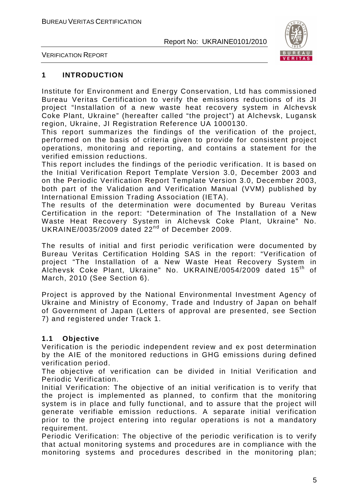

VERIFICATION REPORT

#### **1 INTRODUCTION**

Institute for Environment and Energy Conservation, Ltd has commissioned Bureau Veritas Certification to verify the emissions reductions of its JI project "Installation of a new waste heat recovery system in Alchevsk Coke Plant, Ukraine" (hereafter called "the project") at Alchevsk, Lugansk region, Ukraine, JI Registration Reference UA 1000130.

This report summarizes the findings of the verification of the project, performed on the basis of criteria given to provide for consistent project operations, monitoring and reporting, and contains a statement for the verified emission reductions.

This report includes the findings of the periodic verification. It is based on the Initial Verification Report Template Version 3.0, December 2003 and on the Periodic Verification Report Template Version 3.0, December 2003, both part of the Validation and Verification Manual (VVM) published by International Emission Trading Association (IETA).

The results of the determination were documented by Bureau Veritas Certification in the report: "Determination of The Installation of a New Waste Heat Recovery System in Alchevsk Coke Plant, Ukraine" No. UKRAINE/0035/2009 dated 22nd of December 2009.

The results of initial and first periodic verification were documented by Bureau Veritas Certification Holding SAS in the report: "Verification of project "The Installation of a New Waste Heat Recovery System in Alchevsk Coke Plant, Ukraine" No. UKRAINE/0054/2009 dated 15th of March, 2010 (See Section 6).

Project is approved by the National Environmental Investment Agency of Ukraine and Ministry of Economy, Trade and Industry of Japan on behalf of Government of Japan (Letters of approval are presented, see Section 7) and registered under Track 1.

#### **1.1 Objective**

Verification is the periodic independent review and ex post determination by the AIE of the monitored reductions in GHG emissions during defined verification period.

The objective of verification can be divided in Initial Verification and Periodic Verification.

Initial Verification: The objective of an initial verification is to verify that the project is implemented as planned, to confirm that the monitoring system is in place and fully functional, and to assure that the project will generate verifiable emission reductions. A separate initial verification prior to the project entering into regular operations is not a mandatory requirement.

Periodic Verification: The objective of the periodic verification is to verify that actual monitoring systems and procedures are in compliance with the monitoring systems and procedures described in the monitoring plan;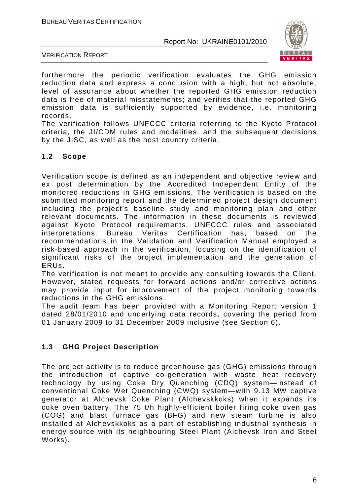

VERIFICATION REPORT

furthermore the periodic verification evaluates the GHG emission reduction data and express a conclusion with a high, but not absolute, level of assurance about whether the reported GHG emission reduction data is free of material misstatements; and verifies that the reported GHG emission data is sufficiently supported by evidence, i.e. monitoring records.

The verification follows UNFCCC criteria referring to the Kyoto Protocol criteria, the JI/CDM rules and modalities, and the subsequent decisions by the JISC, as well as the host country criteria.

#### **1.2 Scope**

Verification scope is defined as an independent and objective review and ex post determination by the Accredited Independent Entity of the monitored reductions in GHG emissions. The verification is based on the submitted monitoring report and the determined project design document including the project's baseline study and monitoring plan and other relevant documents. The information in these documents is reviewed against Kyoto Protocol requirements, UNFCCC rules and associated interpretations. Bureau Veritas Certification has, based on the recommendations in the Validation and Verification Manual employed a risk-based approach in the verification, focusing on the identification of significant risks of the project implementation and the generation of ERUs.

The verification is not meant to provide any consulting towards the Client. However, stated requests for forward actions and/or corrective actions may provide input for improvement of the project monitoring towards reductions in the GHG emissions.

The audit team has been provided with a Monitoring Report version 1 dated 28/01/2010 and underlying data records, covering the period from 01 January 2009 to 31 December 2009 inclusive (see Section 6).

### **1.3 GHG Project Description**

The project activity is to reduce greenhouse gas (GHG) emissions through the introduction of captive co-generation with waste heat recovery technology by using Coke Dry Quenching (CDQ) system—instead of conventional Coke Wet Quenching (CWQ) system—with 9.13 MW captive generator at Alchevsk Coke Plant (Alchevskkoks) when it expands its coke oven battery. The 75 t/h highly-efficient boiler firing coke oven gas (COG) and blast furnace gas (BFG) and new steam turbine is also installed at Alchevskkoks as a part of establishing industrial synthesis in energy source with its neighbouring Steel Plant (Alchevsk Iron and Steel Works).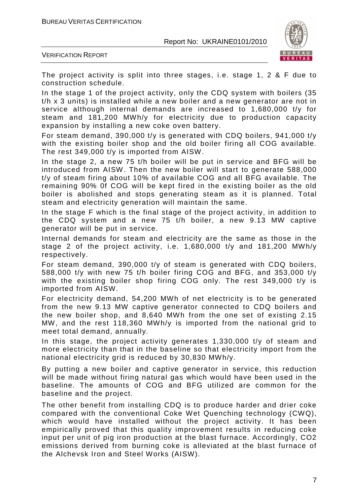

VERIFICATION REPORT

The project activity is split into three stages, i.e. stage 1, 2 & F due to construction schedule.

In the stage 1 of the project activity, only the CDQ system with boilers (35 t/h x 3 units) is installed while a new boiler and a new generator are not in service although internal demands are increased to 1,680,000 t/y for steam and 181,200 MWh/y for electricity due to production capacity expansion by installing a new coke oven battery.

For steam demand, 390,000 t/y is generated with CDQ boilers, 941,000 t/y with the existing boiler shop and the old boiler firing all COG available. The rest 349,000 t/y is imported from AISW.

In the stage 2, a new 75 t/h boiler will be put in service and BFG will be introduced from AISW. Then the new boiler will start to generate 588,000 t/y of steam firing about 10% of available COG and all BFG available. The remaining 90% 0f COG will be kept fired in the existing boiler as the old boiler is abolished and stops generating steam as it is planned. Total steam and electricity generation will maintain the same.

In the stage F which is the final stage of the project activity, in addition to the CDQ system and a new 75 t/h boiler, a new 9.13 MW captive generator will be put in service.

Internal demands for steam and electricity are the same as those in the stage 2 of the project activity, i.e. 1,680,000 t/y and 181,200 MWh/y respectively.

For steam demand, 390,000 t/y of steam is generated with CDQ boilers, 588,000 t/y with new 75 t/h boiler firing COG and BFG, and 353,000 t/y with the existing boiler shop firing COG only. The rest 349,000 t/y is imported from AISW.

For electricity demand, 54,200 MWh of net electricity is to be generated from the new 9.13 MW captive generator connected to CDQ boilers and the new boiler shop, and 8,640 MWh from the one set of existing 2.15 MW, and the rest 118,360 MWh/y is imported from the national grid to meet total demand, annually.

In this stage, the project activity generates 1,330,000 t/y of steam and more electricity than that in the baseline so that electricity import from the national electricity grid is reduced by 30,830 MWh/y.

By putting a new boiler and captive generator in service, this reduction will be made without firing natural gas which would have been used in the baseline. The amounts of COG and BFG utilized are common for the baseline and the project.

The other benefit from installing CDQ is to produce harder and drier coke compared with the conventional Coke Wet Quenching technology (CWQ), which would have installed without the project activity. It has been empirically proved that this quality improvement results in reducing coke input per unit of pig iron production at the blast furnace. Accordingly, CO2 emissions derived from burning coke is alleviated at the blast furnace of the Alchevsk Iron and Steel Works (AISW).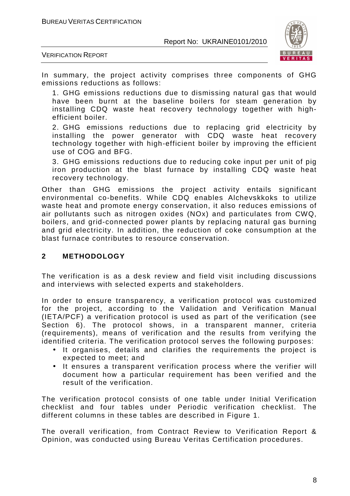

VERIFICATION REPORT

In summary, the project activity comprises three components of GHG emissions reductions as follows:

1. GHG emissions reductions due to dismissing natural gas that would have been burnt at the baseline boilers for steam generation by installing CDQ waste heat recovery technology together with highefficient boiler.

2. GHG emissions reductions due to replacing grid electricity by installing the power generator with CDQ waste heat recovery technology together with high-efficient boiler by improving the efficient use of COG and BFG.

3. GHG emissions reductions due to reducing coke input per unit of pig iron production at the blast furnace by installing CDQ waste heat recovery technology.

Other than GHG emissions the project activity entails significant environmental co-benefits. While CDQ enables Alchevskkoks to utilize waste heat and promote energy conservation, it also reduces emissions of air pollutants such as nitrogen oxides (NOx) and particulates from CWQ, boilers, and grid-connected power plants by replacing natural gas burning and grid electricity. In addition, the reduction of coke consumption at the blast furnace contributes to resource conservation.

#### **2 METHODOLOGY**

The verification is as a desk review and field visit including discussions and interviews with selected experts and stakeholders.

In order to ensure transparency, a verification protocol was customized for the project, according to the Validation and Verification Manual (IETA/PCF) a verification protocol is used as part of the verification (see Section 6). The protocol shows, in a transparent manner, criteria (requirements), means of verification and the results from verifying the identified criteria. The verification protocol serves the following purposes:

- It organises, details and clarifies the requirements the project is expected to meet; and
- It ensures a transparent verification process where the verifier will document how a particular requirement has been verified and the result of the verification.

The verification protocol consists of one table under Initial Verification checklist and four tables under Periodic verification checklist. The different columns in these tables are described in Figure 1.

The overall verification, from Contract Review to Verification Report & Opinion, was conducted using Bureau Veritas Certification procedures.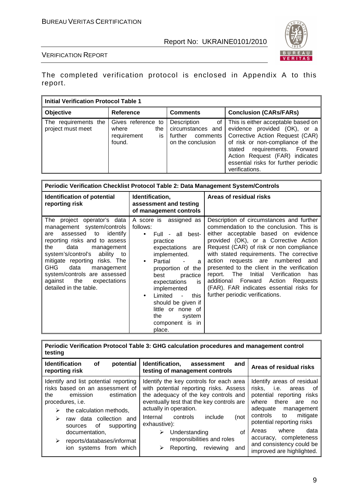

#### VERIFICATION REPORT

The completed verification protocol is enclosed in Appendix A to this report.

| <b>Initial Verification Protocol Table 1</b> |                                                                   |                                                                                      |                                                                                                                                                                                                                                                                       |  |  |  |
|----------------------------------------------|-------------------------------------------------------------------|--------------------------------------------------------------------------------------|-----------------------------------------------------------------------------------------------------------------------------------------------------------------------------------------------------------------------------------------------------------------------|--|--|--|
| Objective                                    | <b>Reference</b>                                                  | <b>Comments</b>                                                                      | <b>Conclusion (CARs/FARs)</b>                                                                                                                                                                                                                                         |  |  |  |
| The requirements the<br>project must meet    | Gives reference to<br>where<br>the<br>is<br>requirement<br>found. | Description<br>of I<br>circumstances and<br>further<br>comments<br>on the conclusion | This is either acceptable based on<br>evidence provided (OK), or a<br>Corrective Action Request (CAR)<br>of risk or non-compliance of the<br>stated requirements. Forward<br>Action Request (FAR) indicates<br>essential risks for further periodic<br>verifications. |  |  |  |

| Periodic Verification Checklist Protocol Table 2: Data Management System/Controls                                                                                                                                                                                                                                                                    |                                                                                                                                                                                                                                                                                                                                                                   |                                                                                                                                                                                                                                                                                                                                                                                                                                                                                                                           |  |  |  |
|------------------------------------------------------------------------------------------------------------------------------------------------------------------------------------------------------------------------------------------------------------------------------------------------------------------------------------------------------|-------------------------------------------------------------------------------------------------------------------------------------------------------------------------------------------------------------------------------------------------------------------------------------------------------------------------------------------------------------------|---------------------------------------------------------------------------------------------------------------------------------------------------------------------------------------------------------------------------------------------------------------------------------------------------------------------------------------------------------------------------------------------------------------------------------------------------------------------------------------------------------------------------|--|--|--|
| <b>Identification of potential</b><br>reporting risk                                                                                                                                                                                                                                                                                                 | Identification,<br>assessment and testing<br>of management controls                                                                                                                                                                                                                                                                                               | Areas of residual risks                                                                                                                                                                                                                                                                                                                                                                                                                                                                                                   |  |  |  |
| The project operator's data<br>management system/controls<br>assessed to<br>identify<br>are<br>reporting risks and to assess<br>data<br>the<br>management<br>system's/control's ability to<br>mitigate reporting risks. The<br>GHG<br>data<br>management<br>system/controls are assessed<br>the<br>against<br>expectations<br>detailed in the table. | A score is assigned as<br>follows:<br>Full - all best-<br>$\bullet$<br>practice<br>expectations are<br>implemented.<br>Partial<br>$\bullet$<br>a<br>proportion of the<br>best<br>practice<br>is<br>expectations<br>implemented<br>Limited<br>this<br>$\sim$<br>$\bullet$<br>should be given if<br>little or none of<br>the<br>system<br>component is in<br>place. | Description of circumstances and further<br>commendation to the conclusion. This is<br>either acceptable based on evidence<br>provided (OK), or a Corrective Action<br>Request (CAR) of risk or non compliance<br>with stated requirements. The corrective<br>action requests are numbered<br>and<br>presented to the client in the verification<br>Initial<br>report. The<br>Verification<br>has<br>additional Forward Action<br>Requests<br>(FAR). FAR indicates essential risks for<br>further periodic verifications. |  |  |  |

| testing                                                                                                                                                                                                                                                                                                             | Periodic Verification Protocol Table 3: GHG calculation procedures and management control                                                                                                                                                                                                                                                                 |                                                                                                                                                                                                                                                                                                               |
|---------------------------------------------------------------------------------------------------------------------------------------------------------------------------------------------------------------------------------------------------------------------------------------------------------------------|-----------------------------------------------------------------------------------------------------------------------------------------------------------------------------------------------------------------------------------------------------------------------------------------------------------------------------------------------------------|---------------------------------------------------------------------------------------------------------------------------------------------------------------------------------------------------------------------------------------------------------------------------------------------------------------|
| <b>Identification</b><br>potential<br><b>of</b><br>reporting risk                                                                                                                                                                                                                                                   | Identification,<br>assessment<br>and<br>testing of management controls                                                                                                                                                                                                                                                                                    | Areas of residual risks                                                                                                                                                                                                                                                                                       |
| Identify and list potential reporting<br>risks based on an assessment of<br>emission<br>the<br>estimation<br>procedures, <i>i.e.</i><br>the calculation methods,<br>➤<br>raw data collection and<br>➤<br>of<br>supporting<br>sources<br>documentation,<br>reports/databases/informat<br>➤<br>ion systems from which | Identify the key controls for each area<br>with potential reporting risks. Assess<br>the adequacy of the key controls and<br>eventually test that the key controls are<br>actually in operation.<br>include<br>(not<br>controls<br>Internal<br>exhaustive):<br>of<br>Understanding<br>⋗<br>responsibilities and roles<br>Reporting, reviewing<br>and<br>⋗ | Identify areas of residual<br>risks, i.e. areas<br>of<br>potential reporting risks<br>there<br>where<br>are<br>no<br>adequate management<br>controls to<br>mitigate<br>potential reporting risks<br>where<br>data<br>Areas<br>accuracy, completeness<br>and consistency could be<br>improved are highlighted. |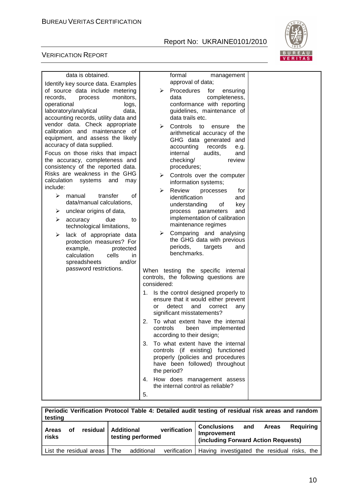

#### VERIFICATION REPORT

F

| data is obtained.                                                                                                                          | formal<br>management                                                                                                                                           |  |
|--------------------------------------------------------------------------------------------------------------------------------------------|----------------------------------------------------------------------------------------------------------------------------------------------------------------|--|
| Identify key source data. Examples<br>of source data include metering                                                                      | approval of data;<br>Procedures<br>➤<br>for<br>ensuring                                                                                                        |  |
| records,<br>monitors,<br>process<br>operational<br>logs,<br>laboratory/analytical<br>data,<br>accounting records, utility data and         | completeness,<br>data<br>conformance with reporting<br>guidelines, maintenance of<br>data trails etc.                                                          |  |
| vendor data. Check appropriate<br>calibration and maintenance of<br>equipment, and assess the likely<br>accuracy of data supplied.         | ⋗<br>Controls to<br>ensure<br>the<br>arithmetical accuracy of the<br>GHG data generated<br>and<br>accounting<br>records<br>e.g.                                |  |
| Focus on those risks that impact<br>the accuracy, completeness and<br>consistency of the reported data.                                    | internal<br>audits,<br>and<br>checking/<br>review<br>procedures;                                                                                               |  |
| Risks are weakness in the GHG<br>calculation<br>systems<br>and<br>may<br>include:                                                          | Controls over the computer<br>➤<br>information systems;                                                                                                        |  |
| ⋗<br>transfer<br>οf<br>manual<br>data/manual calculations,                                                                                 | Review<br>➤<br>processes<br>tor<br>identification<br>and<br>understanding<br>Οf<br>key                                                                         |  |
| unclear origins of data,<br>➤<br>due<br>⋗<br>accuracy<br>to<br>technological limitations,                                                  | process<br>parameters<br>and<br>implementation of calibration<br>maintenance regimes                                                                           |  |
| lack of appropriate data<br>➤<br>protection measures? For<br>protected<br>example,<br>calculation<br>cells<br>in<br>and/or<br>spreadsheets | Comparing and analysing<br>➤<br>the GHG data with previous<br>periods,<br>targets<br>and<br>benchmarks.                                                        |  |
| password restrictions.                                                                                                                     | When testing the specific internal<br>controls, the following questions are<br>considered:                                                                     |  |
|                                                                                                                                            | Is the control designed properly to<br>1.<br>ensure that it would either prevent<br>detect<br>and<br>correct<br>or<br>any<br>significant misstatements?        |  |
|                                                                                                                                            | To what extent have the internal<br>2.<br>controls<br>been<br>implemented<br>according to their design;                                                        |  |
|                                                                                                                                            | 3. To what extent have the internal<br>controls (if existing) functioned<br>properly (policies and procedures<br>have been followed) throughout<br>the period? |  |
|                                                                                                                                            | 4. How does management assess<br>the internal control as reliable?                                                                                             |  |
|                                                                                                                                            | 5.                                                                                                                                                             |  |

| Periodic Verification Protocol Table 4: Detailed audit testing of residual risk areas and random<br>testing |    |          |                                        |              |                                                                   |     |       |           |
|-------------------------------------------------------------------------------------------------------------|----|----------|----------------------------------------|--------------|-------------------------------------------------------------------|-----|-------|-----------|
| Areas<br>risks                                                                                              | οf | residual | <b>Additional</b><br>testing performed | verification | Conclusions<br>Improvement<br>(including Forward Action Requests) | and | Areas | Reguiring |

List the residual areas  $\boxed{\text{The}}$  additional verification  $\boxed{\text{Having}$  investigated the residual risks, the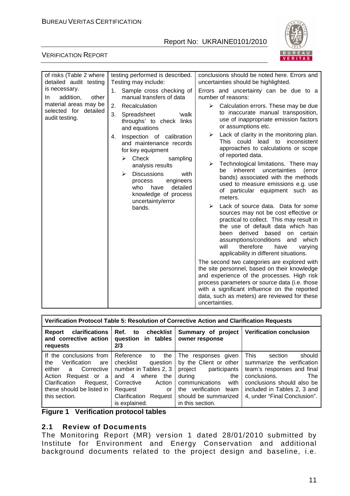

#### VERIFICATION REPORT

| of risks (Table 2 where<br>detailed audit testing | testing performed is described.<br>Testing may include:                                                    | conclusions should be noted here. Errors and<br>uncertainties should be highlighted.                                                                                                                                                                                                                                                      |  |  |
|---------------------------------------------------|------------------------------------------------------------------------------------------------------------|-------------------------------------------------------------------------------------------------------------------------------------------------------------------------------------------------------------------------------------------------------------------------------------------------------------------------------------------|--|--|
| is necessary.<br>addition,<br>other<br>In.        | Sample cross checking of<br>1.<br>manual transfers of data                                                 | Errors and uncertainty can be due to a<br>number of reasons:                                                                                                                                                                                                                                                                              |  |  |
| material areas may be<br>selected for detailed    | 2.<br>Recalculation<br>3.<br>Spreadsheet<br>'walk                                                          | Calculation errors. These may be due<br>≻<br>to inaccurate manual transposition,                                                                                                                                                                                                                                                          |  |  |
| audit testing.                                    | throughs' to check links<br>and equations                                                                  | use of inappropriate emission factors<br>or assumptions etc.                                                                                                                                                                                                                                                                              |  |  |
|                                                   | Inspection of calibration<br>4.<br>and maintenance records                                                 | Lack of clarity in the monitoring plan.<br>➤<br>This could lead to inconsistent<br>approaches to calculations or scope                                                                                                                                                                                                                    |  |  |
|                                                   | for key equipment<br>Check<br>➤<br>sampling                                                                | of reported data.                                                                                                                                                                                                                                                                                                                         |  |  |
|                                                   | analysis results                                                                                           | Technological limitations. There may<br>➤<br>uncertainties<br>inherent<br>be<br>(error                                                                                                                                                                                                                                                    |  |  |
|                                                   | <b>Discussions</b><br>with<br>⋗<br>engineers<br>process<br>who<br>detailed<br>have<br>knowledge of process | bands) associated with the methods<br>used to measure emissions e.g. use<br>of particular equipment such as<br>meters.                                                                                                                                                                                                                    |  |  |
|                                                   | uncertainty/error<br>bands.                                                                                | Lack of source data. Data for some<br>⋗<br>sources may not be cost effective or<br>practical to collect. This may result in<br>the use of default data which has<br>derived<br>based<br>certain<br>been<br>on<br>assumptions/conditions<br>which<br>and<br>will<br>therefore<br>have<br>varying<br>applicability in different situations. |  |  |
|                                                   |                                                                                                            | The second two categories are explored with<br>the site personnel, based on their knowledge<br>and experience of the processes. High risk<br>process parameters or source data (i.e. those<br>with a significant influence on the reported<br>data, such as meters) are reviewed for these<br>uncertainties.                              |  |  |

| Verification Protocol Table 5: Resolution of Corrective Action and Clarification Requests                                                                                      |                                                                                                                                                                                      |                                                                                                                                                                                          |                                                                                                                                                                                                                         |  |  |
|--------------------------------------------------------------------------------------------------------------------------------------------------------------------------------|--------------------------------------------------------------------------------------------------------------------------------------------------------------------------------------|------------------------------------------------------------------------------------------------------------------------------------------------------------------------------------------|-------------------------------------------------------------------------------------------------------------------------------------------------------------------------------------------------------------------------|--|--|
| clarifications<br>Ref. to checklist<br>Report<br>and corrective action<br>question in tables<br>2/3<br>requests                                                                |                                                                                                                                                                                      | Summary of project<br>owner response                                                                                                                                                     | <b>Verification conclusion</b>                                                                                                                                                                                          |  |  |
| If the conclusions from<br>Verification are<br>the<br>either a Corrective<br>Action<br>Request or a<br>Clarification<br>Request,<br>these should be listed in<br>this section. | Reference<br>the<br>to<br>checklist<br>question<br>number in Tables 2, 3<br>and 4 where<br>the<br>Corrective<br>Action<br>Request<br>or<br>Clarification<br>Request<br>is explained. | The responses given<br>by the Client or other<br>project participants<br>during<br>the<br>communications<br>with<br>verification team<br>the<br>should be summarized<br>in this section. | <b>This</b><br>should<br>section<br>summarize the verification<br>team's responses and final<br>conclusions.<br><b>The</b><br>conclusions should also be<br>included in Tables 2, 3 and<br>4, under "Final Conclusion". |  |  |

**Figure 1 Verification protocol tables** 

#### **2.1 Review of Documents**

The Monitoring Report (MR) version 1 dated 28/01/2010 submitted by Institute for Environment and Energy Conservation and additional background documents related to the project design and baseline, i.e.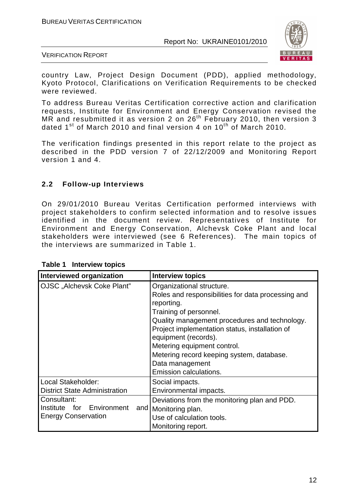

VERIFICATION REPORT

country Law, Project Design Document (PDD), applied methodology, Kyoto Protocol, Clarifications on Verification Requirements to be checked were reviewed.

To address Bureau Veritas Certification corrective action and clarification requests, Institute for Environment and Energy Conservation revised the MR and resubmitted it as version 2 on  $26<sup>th</sup>$  February 2010, then version 3 dated  $1^{st}$  of March 2010 and final version 4 on  $10^{th}$  of March 2010.

The verification findings presented in this report relate to the project as described in the PDD version 7 of 22/12/2009 and Monitoring Report version 1 and 4.

#### **2.2 Follow-up Interviews**

On 29/01/2010 Bureau Veritas Certification performed interviews with project stakeholders to confirm selected information and to resolve issues identified in the document review. Representatives of Institute for Environment and Energy Conservation, Alchevsk Coke Plant and local stakeholders were interviewed (see 6 References). The main topics of the interviews are summarized in Table 1.

| Interviewed organization             | <b>Interview topics</b>                                                                                                                                                                                                                                                                                                                                                            |
|--------------------------------------|------------------------------------------------------------------------------------------------------------------------------------------------------------------------------------------------------------------------------------------------------------------------------------------------------------------------------------------------------------------------------------|
| OJSC "Alchevsk Coke Plant"           | Organizational structure.<br>Roles and responsibilities for data processing and<br>reporting.<br>Training of personnel.<br>Quality management procedures and technology.<br>Project implementation status, installation of<br>equipment (records).<br>Metering equipment control.<br>Metering record keeping system, database.<br>Data management<br><b>Emission calculations.</b> |
| Local Stakeholder:                   | Social impacts.                                                                                                                                                                                                                                                                                                                                                                    |
| <b>District State Administration</b> | Environmental impacts.                                                                                                                                                                                                                                                                                                                                                             |
| Consultant:                          | Deviations from the monitoring plan and PDD.                                                                                                                                                                                                                                                                                                                                       |
| Institute for                        | and   Monitoring plan.                                                                                                                                                                                                                                                                                                                                                             |
| Environment                          | Use of calculation tools.                                                                                                                                                                                                                                                                                                                                                          |
| <b>Energy Conservation</b>           | Monitoring report.                                                                                                                                                                                                                                                                                                                                                                 |

**Table 1 Interview topics**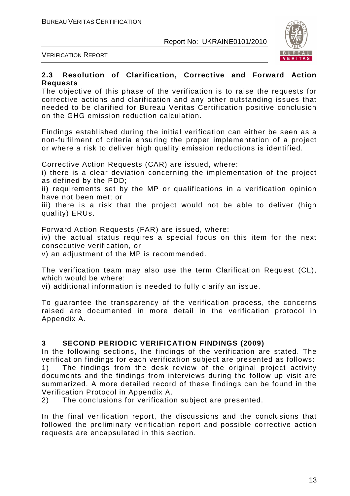

VERIFICATION REPORT

#### **2.3 Resolution of Clarification, Corrective and Forward Action Requests**

The objective of this phase of the verification is to raise the requests for corrective actions and clarification and any other outstanding issues that needed to be clarified for Bureau Veritas Certification positive conclusion on the GHG emission reduction calculation.

Findings established during the initial verification can either be seen as a non-fulfilment of criteria ensuring the proper implementation of a project or where a risk to deliver high quality emission reductions is identified.

Corrective Action Requests (CAR) are issued, where:

i) there is a clear deviation concerning the implementation of the project as defined by the PDD;

ii) requirements set by the MP or qualifications in a verification opinion have not been met; or

iii) there is a risk that the project would not be able to deliver (high quality) ERUs.

Forward Action Requests (FAR) are issued, where:

iv) the actual status requires a special focus on this item for the next consecutive verification, or

v) an adjustment of the MP is recommended.

The verification team may also use the term Clarification Request (CL), which would be where:

vi) additional information is needed to fully clarify an issue.

To guarantee the transparency of the verification process, the concerns raised are documented in more detail in the verification protocol in Appendix A.

#### **3 SECOND PERIODIC VERIFICATION FINDINGS (2009)**

In the following sections, the findings of the verification are stated. The verification findings for each verification subject are presented as follows: 1) The findings from the desk review of the original project activity documents and the findings from interviews during the follow up visit are summarized. A more detailed record of these findings can be found in the Verification Protocol in Appendix A.

2) The conclusions for verification subject are presented.

In the final verification report, the discussions and the conclusions that followed the preliminary verification report and possible corrective action requests are encapsulated in this section.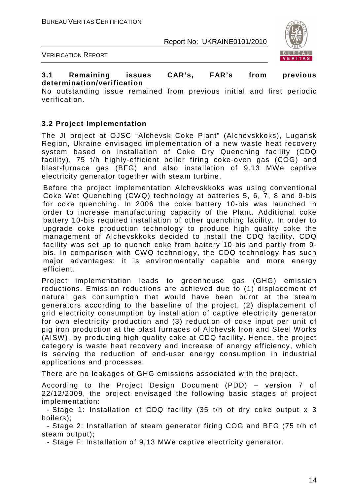

VERIFICATION REPORT

#### **3.1 Remaining issues CAR's, FAR's from previous determination/verification**

No outstanding issue remained from previous initial and first periodic verification.

#### **3.2 Project Implementation**

The JI project at OJSC "Alchevsk Coke Plant" (Alchevskkoks), Lugansk Region, Ukraine envisaged implementation of a new waste heat recovery system based on installation of Coke Dry Quenching facility (CDQ facility), 75 t/h highly-efficient boiler firing coke-oven gas (COG) and blast-furnace gas (BFG) and also installation of 9.13 MWe captive electricity generator together with steam turbine.

Before the project implementation Alchevskkoks was using conventional Coke Wet Quenching (CWQ) technology at batteries 5, 6, 7, 8 and 9-bis for coke quenching. In 2006 the coke battery 10-bis was launched in order to increase manufacturing capacity of the Plant. Additional coke battery 10-bis required installation of other quenching facility. In order to upgrade coke production technology to produce high quality coke the management of Alchevskkoks decided to install the CDQ facility. CDQ facility was set up to quench coke from battery 10-bis and partly from 9 bis. In comparison with CWQ technology, the CDQ technology has such major advantages: it is environmentally capable and more energy efficient.

Project implementation leads to greenhouse gas (GHG) emission reductions. Emission reductions are achieved due to (1) displacement of natural gas consumption that would have been burnt at the steam generators according to the baseline of the project, (2) displacement of grid electricity consumption by installation of captive electricity generator for own electricity production and (3) reduction of coke input per unit of pig iron production at the blast furnaces of Alchevsk Iron and Steel Works (AISW), by producing high-quality coke at CDQ facility. Hence, the project category is waste heat recovery and increase of energy efficiency, which is serving the reduction of end-user energy consumption in industrial applications and processes.

There are no leakages of GHG emissions associated with the project.

According to the Project Design Document (PDD) – version 7 of 22/12/2009, the project envisaged the following basic stages of project implementation:

- Stage 1: Installation of CDQ facility (35 t/h of dry coke output x 3 boilers);

- Stage 2: Installation of steam generator firing COG and BFG (75 t/h of steam output);

- Stage F: Installation of 9,13 MWe captive electricity generator.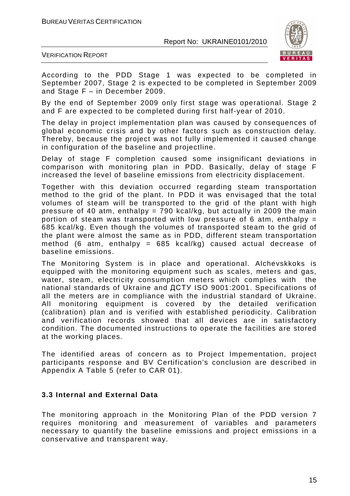

VERIFICATION REPORT

According to the PDD Stage 1 was expected to be completed in September 2007, Stage 2 is expected to be completed in September 2009 and Stage F – in December 2009.

By the end of September 2009 only first stage was operational. Stage 2 and F are expected to be completed during first half-year of 2010.

The delay in project implementation plan was caused by consequences of global economic crisis and by other factors such as construction delay. Thereby, because the project was not fully implemented it caused change in configuration of the baseline and projectline.

Delay of stage F completion caused some insignificant deviations in comparison with monitoring plan in PDD. Basically, delay of stage F increased the level of baseline emissions from electricity displacement.

Together with this deviation occurred regarding steam transportation method to the grid of the plant. In PDD it was envisaged that the total volumes of steam will be transported to the grid of the plant with high pressure of 40 atm, enthalpy = 790 kcal/kg, but actually in 2009 the main portion of steam was transported with low pressure of 6 atm, enthalpy  $=$ 685 kcal/kg. Even though the volumes of transported steam to the grid of the plant were almost the same as in PDD, different steam transportation method (6 atm, enthalpy =  $685$  kcal/kg) caused actual decrease of baseline emissions.

The Monitoring System is in place and operational. Alchevskkoks is equipped with the monitoring equipment such as scales, meters and gas, water, steam, electricity consumption meters which complies with the national standards of Ukraine and ДСТУ ISO 9001:2001. Specifications of all the meters are in compliance with the industrial standard of Ukraine. All monitoring equipment is covered by the detailed verification (calibration) plan and is verified with established periodicity. Calibration and verification records showed that all devices are in satisfactory condition. The documented instructions to operate the facilities are stored at the working places.

The identified areas of concern as to Project Impementation, project participants response and BV Certification's conclusion are described in Appendix A Table 5 (refer to CAR 01).

#### **3.3 Internal and External Data**

The monitoring approach in the Monitoring Plan of the PDD version 7 requires monitoring and measurement of variables and parameters necessary to quantify the baseline emissions and project emissions in a conservative and transparent way.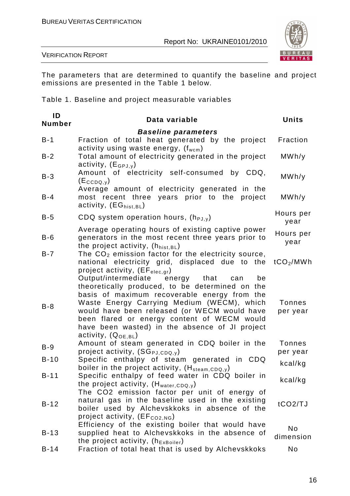

VERIFICATION REPORT

The parameters that are determined to quantify the baseline and project emissions are presented in the Table 1 below.

Table 1. Baseline and project measurable variables

| ID<br>Number | Data variable                                                                                                                                                                                                                                                                                                                                                                | <b>Units</b>              |
|--------------|------------------------------------------------------------------------------------------------------------------------------------------------------------------------------------------------------------------------------------------------------------------------------------------------------------------------------------------------------------------------------|---------------------------|
|              | <b>Baseline parameters</b>                                                                                                                                                                                                                                                                                                                                                   |                           |
| $B-1$        | Fraction of total heat generated by the project<br>activity using waste energy, $(f_{wcm})$                                                                                                                                                                                                                                                                                  | Fraction                  |
| $B-2$        | Total amount of electricity generated in the project<br>activity, $(E_{GPJ,y})$                                                                                                                                                                                                                                                                                              | MWh/y                     |
| $B-3$        | Amount of electricity self-consumed by CDQ,<br>$(E_{CCDQ,y})$                                                                                                                                                                                                                                                                                                                | MWh/y                     |
| $B - 4$      | Average amount of electricity generated in the<br>most recent three years prior to the<br>project<br>activity, $(EG_{hist,BL})$                                                                                                                                                                                                                                              | MWh/y                     |
| $B-5$        | CDQ system operation hours, $(h_{PJ,V})$                                                                                                                                                                                                                                                                                                                                     | Hours per<br>year         |
| $B-6$        | Average operating hours of existing captive power<br>generators in the most recent three years prior to<br>the project activity, $(h_{hist, BL})$                                                                                                                                                                                                                            | Hours per<br>year         |
| $B - 7$      | The $CO2$ emission factor for the electricity source,<br>national electricity grid, displaced due to the<br>project activity, $(EF_{elec,qr})$                                                                                                                                                                                                                               | tCO <sub>2</sub> /MWh     |
| $B-8$        | Output/intermediate<br>energy that<br>can<br>be<br>theoretically produced, to be determined on the<br>basis of maximum recoverable energy from the<br>Waste Energy Carrying Medium (WECM), which<br>would have been released (or WECM would have<br>been flared or energy content of WECM would<br>have been wasted) in the absence of JI project<br>activity, $(Q_{OE,BL})$ | <b>Tonnes</b><br>per year |
| $B-9$        | Amount of steam generated in CDQ boiler in the<br>project activity, $(SG_{PJ,CDQ,y})$                                                                                                                                                                                                                                                                                        | <b>Tonnes</b><br>per year |
| $B-10$       | Specific enthalpy of steam generated in CDQ<br>boiler in the project activity, (H <sub>steam,CDQ,y</sub> )                                                                                                                                                                                                                                                                   | kcal/kg                   |
| $B - 11$     | Specific enthalpy of feed water in CDQ boiler in<br>the project activity, $(H_{water, CDQ, y})$<br>The CO2 emission factor per unit of energy of                                                                                                                                                                                                                             | kcal/kg                   |
| $B-12$       | natural gas in the baseline used in the existing<br>boiler used by Alchevskkoks in absence of the<br>project activity, (EF <sub>CO2,NG</sub> )                                                                                                                                                                                                                               | tCO2/TJ                   |
| $B-13$       | Efficiency of the existing boiler that would have<br>supplied heat to Alchevskkoks in the absence of<br>the project activity, $(h_{ExBoiler})$                                                                                                                                                                                                                               | No<br>dimension           |
| $B-14$       | Fraction of total heat that is used by Alchevskkoks                                                                                                                                                                                                                                                                                                                          | No                        |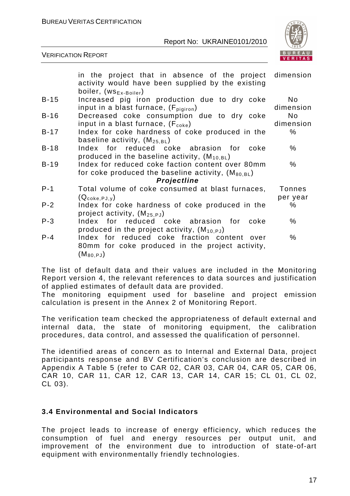

|         | in the project that in absence of the project dimension<br>activity would have been supplied by the existing<br>boiler, $(ws_{Ex-Boiler})$ |                             |
|---------|--------------------------------------------------------------------------------------------------------------------------------------------|-----------------------------|
| $B-15$  | Increased pig iron production due to dry coke<br>input in a blast furnace, $(F_{\text{pigiron}})$                                          | No.<br>dimension            |
| $B-16$  | Decreased coke consumption due to dry coke<br>input in a blast furnace, $(F_{\text{coke}})$                                                | N <sub>o</sub><br>dimension |
| $B-17$  | Index for coke hardness of coke produced in the<br>baseline activity, $(M_{25.BL})$                                                        | $\%$                        |
| $B-18$  | Index for reduced coke abrasion for coke<br>produced in the baseline activity, $(M_{10,BL})$                                               | %                           |
| $B-19$  | Index for reduced coke faction content over 80mm<br>for coke produced the baseline activity, $(M_{80.BL})$<br>Projectline                  | $\%$                        |
| $P - 1$ | Total volume of coke consumed at blast furnaces,<br>$(Q_{\text{coke,PJ,V}})$                                                               | <b>Tonnes</b><br>per year   |
| $P - 2$ | Index for coke hardness of coke produced in the<br>project activity, $(M_{25.PJ})$                                                         | %                           |
| $P-3$   | Index for reduced coke abrasion for coke<br>produced in the project activity, $(M_{10.PJ})$                                                | %                           |
| $P - 4$ | Index for reduced coke fraction content over<br>80mm for coke produced in the project activity,<br>$(\mathsf{M}_{\text{80,PJ}})$           | $\%$                        |

The list of default data and their values are included in the Monitoring Report version 4, the relevant references to data sources and justification of applied estimates of default data are provided.

The monitoring equipment used for baseline and project emission calculation is present in the Annex 2 of Monitoring Report.

The verification team checked the appropriateness of default external and internal data, the state of monitoring equipment, the calibration procedures, data control, and assessed the qualification of personnel.

The identified areas of concern as to Internal and External Data, project participants response and BV Certification's conclusion are described in Appendix A Table 5 (refer to CAR 02, CAR 03, CAR 04, CAR 05, CAR 06, CAR 10, CAR 11, CAR 12, CAR 13, CAR 14, CAR 15; CL 01, CL 02, CL 03).

#### **3.4 Environmental and Social Indicators**

The project leads to increase of energy efficiency, which reduces the consumption of fuel and energy resources per output unit, and improvement of the environment due to introduction of state-of-art equipment with environmentally friendly technologies.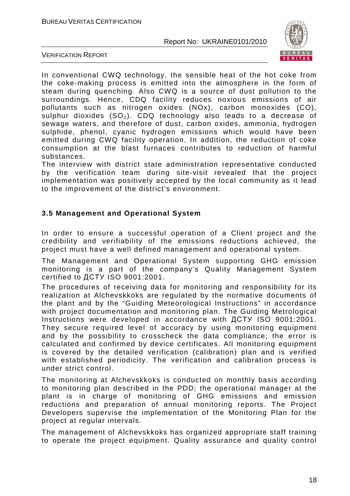

VERIFICATION REPORT

In conventional CWQ technology, the sensible heat of the hot coke from the coke-making process is emitted into the atmosphere in the form of steam during quenching. Also CWQ is a source of dust pollution to the surroundings. Hence, CDQ facility reduces noxious emissions of air pollutants such as nitrogen oxides (NOx), carbon monoxides (CO), sulphur dioxides  $(SO<sub>2</sub>)$ . CDQ technology also leads to a decrease of sewage waters, and therefore of dust, carbon oxides, ammonia, hydrogen sulphide, phenol, cyanic hydrogen emissions which would have been emitted during CWQ facility operation. In addition, the reduction of coke consumption at the blast furnaces contributes to reduction of harmful substances.

The interview with district state administration representative conducted by the verification team during site-visit revealed that the project implementation was positively accepted by the local community as it lead to the improvement of the district's environment.

#### **3.5 Management and Operational System**

In order to ensure a successful operation of a Client project and the credibility and verifiability of the emissions reductions achieved, the project must have a well defined management and operational system.

The Management and Operational System supporting GHG emission monitoring is a part of the company's Quality Management System certified to ДСТУ ISO 9001:2001.

The procedures of receiving data for monitoring and responsibility for its realization at Alchevskkoks are regulated by the normative documents of the plant and by the "Guiding Meteorological Instructions" in accordance with project documentation and monitoring plan. The Guiding Metrological Instructions were developed in accordance with ДСТУ ISO 9001:2001. They secure required level of accuracy by using monitoring equipment and by the possibility to crosscheck the data compliance; the error is calculated and confirmed by device certificates. All monitoring equipment is covered by the detailed verification (calibration) plan and is verified with established periodicity. The verification and calibration process is under strict control.

The monitoring at Alchevskkoks is conducted on monthly basis according to monitoring plan described in the PDD; the operational manager at the plant is in charge of monitoring of GHG emissions and emission reductions and preparation of annual monitoring reports. The Project Developers supervise the implementation of the Monitoring Plan for the project at regular intervals.

The management of Alchevskkoks has organized appropriate staff training to operate the project equipment. Quality assurance and quality control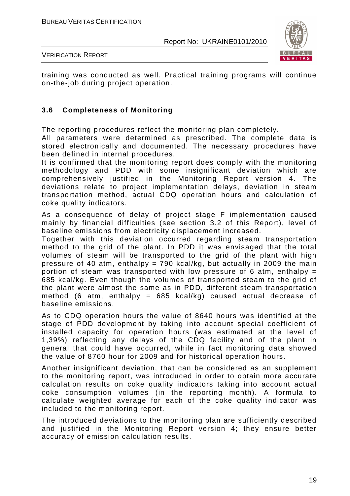

VERIFICATION REPORT

training was conducted as well. Practical training programs will continue on-the-job during project operation.

#### **3.6 Completeness of Monitoring**

The reporting procedures reflect the monitoring plan completely.

All parameters were determined as prescribed. The complete data is stored electronically and documented. The necessary procedures have been defined in internal procedures.

It is confirmed that the monitoring report does comply with the monitoring methodology and PDD with some insignificant deviation which are comprehensively justified in the Monitoring Report version 4. The deviations relate to project implementation delays, deviation in steam transportation method, actual CDQ operation hours and calculation of coke quality indicators.

As a consequence of delay of project stage F implementation caused mainly by financial difficulties (see section 3.2 of this Report), level of baseline emissions from electricity displacement increased.

Together with this deviation occurred regarding steam transportation method to the grid of the plant. In PDD it was envisaged that the total volumes of steam will be transported to the grid of the plant with high pressure of 40 atm, enthalpy = 790 kcal/kg, but actually in 2009 the main portion of steam was transported with low pressure of 6 atm, enthalpy  $=$ 685 kcal/kg. Even though the volumes of transported steam to the grid of the plant were almost the same as in PDD, different steam transportation method (6 atm, enthalpy =  $685$  kcal/kg) caused actual decrease of baseline emissions.

As to CDQ operation hours the value of 8640 hours was identified at the stage of PDD development by taking into account special coefficient of installed capacity for operation hours (was estimated at the level of 1,39%) reflecting any delays of the CDQ facility and of the plant in general that could have occurred, while in fact monitoring data showed the value of 8760 hour for 2009 and for historical operation hours.

Another insignificant deviation, that can be considered as an supplement to the monitoring report, was introduced in order to obtain more accurate calculation results on coke quality indicators taking into account actual coke consumption volumes (in the reporting month). A formula to calculate weighted average for each of the coke quality indicator was included to the monitoring report.

The introduced deviations to the monitoring plan are sufficiently described and justified in the Monitoring Report version 4; they ensure better accuracy of emission calculation results.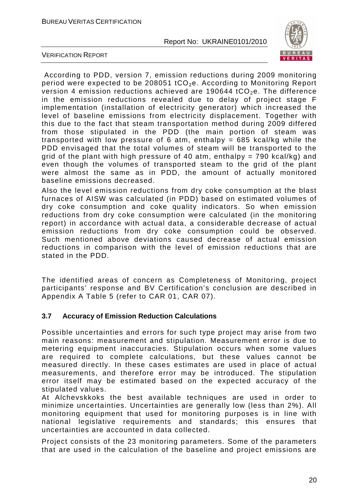

VERIFICATION REPORT

 According to PDD, version 7, emission reductions during 2009 monitoring period were expected to be 208051 tCO<sub>2</sub>e. According to Monitoring Report version 4 emission reductions achieved are 190644 tCO<sub>2</sub>e. The difference in the emission reductions revealed due to delay of project stage F implementation (installation of electricity generator) which increased the level of baseline emissions from electricity displacement. Together with this due to the fact that steam transportation method during 2009 differed from those stipulated in the PDD (the main portion of steam was transported with low pressure of 6 atm, enthalpy  $= 685$  kcal/kg while the PDD envisaged that the total volumes of steam will be transported to the grid of the plant with high pressure of 40 atm, enthalpy =  $790$  kcal/kg) and even though the volumes of transported steam to the grid of the plant were almost the same as in PDD, the amount of actually monitored baseline emissions decreased.

Also the level emission reductions from dry coke consumption at the blast furnaces of AISW was calculated (in PDD) based on estimated volumes of dry coke consumption and coke quality indicators. So when emission reductions from dry coke consumption were calculated (in the monitoring report) in accordance with actual data, a considerable decrease of actual emission reductions from dry coke consumption could be observed. Such mentioned above deviations caused decrease of actual emission reductions in comparison with the level of emission reductions that are stated in the PDD.

The identified areas of concern as Completeness of Monitoring, project participants' response and BV Certification's conclusion are described in Appendix A Table 5 (refer to CAR 01, CAR 07).

#### **3.7 Accuracy of Emission Reduction Calculations**

Possible uncertainties and errors for such type project may arise from two main reasons: measurement and stipulation. Measurement error is due to metering equipment inaccuracies. Stipulation occurs when some values are required to complete calculations, but these values cannot be measured directly. In these cases estimates are used in place of actual measurements, and therefore error may be introduced. The stipulation error itself may be estimated based on the expected accuracy of the stipulated values.

At Alchevskkoks the best available techniques are used in order to minimize uncertainties. Uncertainties are generally low (less than 2%). All monitoring equipment that used for monitoring purposes is in line with national legislative requirements and standards; this ensures that uncertainties are accounted in data collected.

Project consists of the 23 monitoring parameters. Some of the parameters that are used in the calculation of the baseline and project emissions are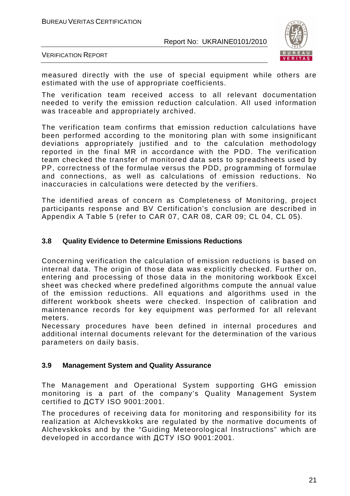

VERIFICATION REPORT

measured directly with the use of special equipment while others are estimated with the use of appropriate coefficients.

The verification team received access to all relevant documentation needed to verify the emission reduction calculation. All used information was traceable and appropriately archived.

The verification team confirms that emission reduction calculations have been performed according to the monitoring plan with some insignificant deviations appropriately justified and to the calculation methodology reported in the final MR in accordance with the PDD. The verification team checked the transfer of monitored data sets to spreadsheets used by PP, correctness of the formulae versus the PDD, programming of formulae and connections, as well as calculations of emission reductions. No inaccuracies in calculations were detected by the verifiers.

The identified areas of concern as Completeness of Monitoring, project participants response and BV Certification's conclusion are described in Appendix A Table 5 (refer to CAR 07, CAR 08, CAR 09; CL 04, CL 05).

#### **3.8 Quality Evidence to Determine Emissions Reductions**

Concerning verification the calculation of emission reductions is based on internal data. The origin of those data was explicitly checked. Further on, entering and processing of those data in the monitoring workbook Excel sheet was checked where predefined algorithms compute the annual value of the emission reductions. All equations and algorithms used in the different workbook sheets were checked. Inspection of calibration and maintenance records for key equipment was performed for all relevant meters.

Necessary procedures have been defined in internal procedures and additional internal documents relevant for the determination of the various parameters on daily basis.

#### **3.9 Management System and Quality Assurance**

The Management and Operational System supporting GHG emission monitoring is a part of the company's Quality Management System certified to ДСТУ ISO 9001:2001.

The procedures of receiving data for monitoring and responsibility for its realization at Alchevskkoks are regulated by the normative documents of Alchevskkoks and by the "Guiding Meteorological Instructions" which are developed in accordance with ДСТУ ISO 9001:2001.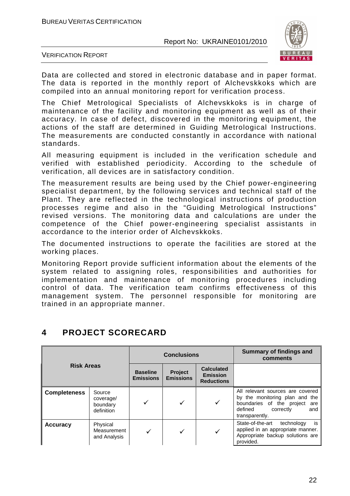

VERIFICATION REPORT

Data are collected and stored in electronic database and in paper format. The data is reported in the monthly report of Alchevskkoks which are compiled into an annual monitoring report for verification process.

The Chief Metrological Specialists of Alchevskkoks is in charge of maintenance of the facility and monitoring equipment as well as of their accuracy. In case of defect, discovered in the monitoring equipment, the actions of the staff are determined in Guiding Metrological Instructions. The measurements are conducted constantly in accordance with national standards.

All measuring equipment is included in the verification schedule and verified with established periodicity. According to the schedule of verification, all devices are in satisfactory condition.

The measurement results are being used by the Chief power-engineering specialist department, by the following services and technical staff of the Plant. They are reflected in the technological instructions of production processes regime and also in the "Guiding Metrological Instructions" revised versions. The monitoring data and calculations are under the competence of the Chief power-engineering specialist assistants in accordance to the interior order of Alchevskkoks.

The documented instructions to operate the facilities are stored at the working places.

Monitoring Report provide sufficient information about the elements of the system related to assigning roles, responsibilities and authorities for implementation and maintenance of monitoring procedures including control of data. The verification team confirms effectiveness of this management system. The personnel responsible for monitoring are trained in an appropriate manner.

| <b>Risk Areas</b>   |                                               |                                     | <b>Conclusions</b>                 |                                                           | <b>Summary of findings and</b><br>comments                                                                                                        |
|---------------------|-----------------------------------------------|-------------------------------------|------------------------------------|-----------------------------------------------------------|---------------------------------------------------------------------------------------------------------------------------------------------------|
|                     |                                               | <b>Baseline</b><br><b>Emissions</b> | <b>Project</b><br><b>Emissions</b> | <b>Calculated</b><br><b>Emission</b><br><b>Reductions</b> |                                                                                                                                                   |
| <b>Completeness</b> | Source<br>coverage/<br>boundary<br>definition |                                     |                                    | ✓                                                         | All relevant sources are covered<br>by the monitoring plan and the<br>boundaries of the project are<br>defined correctly<br>and<br>transparently. |
| <b>Accuracy</b>     | Physical<br>Measurement<br>and Analysis       | ✓                                   |                                    |                                                           | State-of-the-art<br>is<br>technology<br>applied in an appropriate manner.<br>Appropriate backup solutions are<br>provided.                        |

# **4 PROJECT SCORECARD**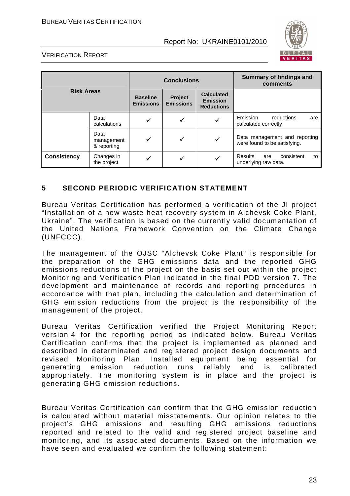

#### VERIFICATION REPORT

| <b>Risk Areas</b>  |                                   |                                     | <b>Conclusions</b>          |                                                           | <b>Summary of findings and</b><br>comments                        |  |
|--------------------|-----------------------------------|-------------------------------------|-----------------------------|-----------------------------------------------------------|-------------------------------------------------------------------|--|
|                    |                                   | <b>Baseline</b><br><b>Emissions</b> | Project<br><b>Emissions</b> | <b>Calculated</b><br><b>Emission</b><br><b>Reductions</b> |                                                                   |  |
|                    | Data<br>calculations              |                                     |                             |                                                           | Emission<br>reductions<br>are<br>calculated correctly             |  |
|                    | Data<br>management<br>& reporting |                                     | ✓                           | ✓                                                         | Data management and reporting<br>were found to be satisfying.     |  |
| <b>Consistency</b> | Changes in<br>the project         |                                     |                             |                                                           | consistent<br><b>Results</b><br>to<br>are<br>underlying raw data. |  |

#### **5 SECOND PERIODIC VERIFICATION STATEMENT**

Bureau Veritas Certification has performed a verification of the JI project "Installation of a new waste heat recovery system in Alchevsk Coke Plant, Ukraine". The verification is based on the currently valid documentation of the United Nations Framework Convention on the Climate Change (UNFCCC).

The management of the OJSC "Alchevsk Coke Plant" is responsible for the preparation of the GHG emissions data and the reported GHG emissions reductions of the project on the basis set out within the project Monitoring and Verification Plan indicated in the final PDD version 7. The development and maintenance of records and reporting procedures in accordance with that plan, including the calculation and determination of GHG emission reductions from the project is the responsibility of the management of the project.

Bureau Veritas Certification verified the Project Monitoring Report version 4 for the reporting period as indicated below. Bureau Veritas Certification confirms that the project is implemented as planned and described in determinated and registered project design documents and revised Monitoring Plan. Installed equipment being essential for generating emission reduction runs reliably and is calibrated appropriately. The monitoring system is in place and the project is generating GHG emission reductions.

Bureau Veritas Certification can confirm that the GHG emission reduction is calculated without material misstatements. Our opinion relates to the project's GHG emissions and resulting GHG emissions reductions reported and related to the valid and registered project baseline and monitoring, and its associated documents. Based on the information we have seen and evaluated we confirm the following statement: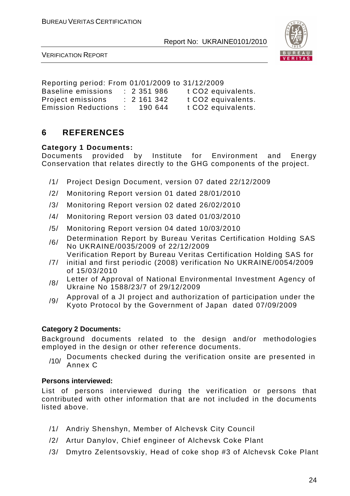

VERIFICATION REPORT

Reporting period: From 01/01/2009 to 31/12/2009 Baseline emissions : 2 351 986 t CO2 equivalents. Project emissions : 2 161 342 t CO2 equivalents. Emission Reductions : 190 644 t CO2 equivalents.

# **6 REFERENCES**

#### **Category 1 Documents:**

Documents provided by Institute for Environment and Energy Conservation that relates directly to the GHG components of the project.

- /1/ Project Design Document, version 07 dated 22/12/2009
- /2/ Monitoring Report version 01 dated 28/01/2010
- /3/ Monitoring Report version 02 dated 26/02/2010
- /4/ Monitoring Report version 03 dated 01/03/2010
- /5/ Monitoring Report version 04 dated 10/03/2010
- /6/ Determination Report by Bureau Veritas Certification Holding SAS No UKRAINE/0035/2009 of 22/12/2009
- /7/ Verification Report by Bureau Veritas Certification Holding SAS for initial and first periodic (2008) verification No UKRAINE/0054/2009 of 15/03/2010
- /8/ Letter of Approval of National Environmental Investment Agency of Ukraine No 1588/23/7 of 29/12/2009
- /9/ Approval of a JI project and authorization of participation under the Kyoto Protocol by the Government of Japan dated 07/09/2009

#### **Category 2 Documents:**

Background documents related to the design and/or methodologies employed in the design or other reference documents.

 $/10/$  Documents checked during the verification onsite are presented in Annex C

#### **Persons interviewed:**

List of persons interviewed during the verification or persons that contributed with other information that are not included in the documents listed above.

- /1/ Andriy Shenshyn, Member of Alchevsk City Council
- /2/ Artur Danylov, Chief engineer of Alchevsk Coke Plant
- /3/ Dmytro Zelentsovskiy, Head of coke shop #3 of Alchevsk Coke Plant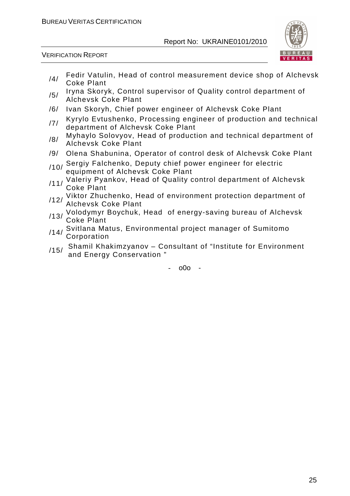

VERIFICATION REPORT

- /4/ Fedir Vatulin, Head of control measurement device shop of Alchevsk Coke Plant
- /5/ Iryna Skoryk, Control supervisor of Quality control department of Alchevsk Coke Plant
- /6/ Ivan Skoryh, Chief power engineer of Alchevsk Coke Plant
- /7/ Kyrylo Evtushenko, Processing engineer of production and technical department of Alchevsk Coke Plant
- <sub>/8</sub>/ Myhaylo Solovyov, Head of production and technical department of Alchevsk Coke Plant
- /9/ Olena Shabunina, Operator of control desk of Alchevsk Coke Plant
- /10/ Sergiy Falchenko, Deputy chief power engineer for electric equipment of Alchevsk Coke Plant
- /11/ Valeriy Pyankov, Head of Quality control department of Alchevsk Coke Plant
- /12/ Viktor Zhuchenko, Head of environment protection department of Alchevsk Coke Plant
- /13/ Volodymyr Boychuk, Head of energy-saving bureau of Alchevsk Coke Plant
- /14/ Svitlana Matus, Environmental project manager of Sumitomo **Corporation**
- /15/ Shamil Khakimzyanov Consultant of "Institute for Environment and Energy Conservation "

 $000 -$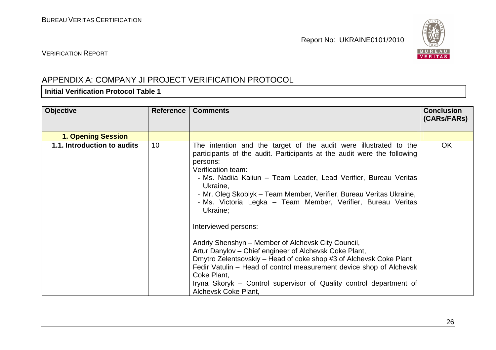

### VERIFICATION REPORT

# APPENDIX A: COMPANY JI PROJECT VERIFICATION PROTOCOL

#### **Initial Verification Protocol Table 1**

| <b>Objective</b>            | <b>Reference</b> | <b>Comments</b>                                                                                                                                                                                                                                                                                                                                                                                                                                                                                                                                                                                                                                                                                                                                                                                                     | <b>Conclusion</b><br>(CARs/FARs) |
|-----------------------------|------------------|---------------------------------------------------------------------------------------------------------------------------------------------------------------------------------------------------------------------------------------------------------------------------------------------------------------------------------------------------------------------------------------------------------------------------------------------------------------------------------------------------------------------------------------------------------------------------------------------------------------------------------------------------------------------------------------------------------------------------------------------------------------------------------------------------------------------|----------------------------------|
| <b>1. Opening Session</b>   |                  |                                                                                                                                                                                                                                                                                                                                                                                                                                                                                                                                                                                                                                                                                                                                                                                                                     |                                  |
| 1.1. Introduction to audits | 10               | The intention and the target of the audit were illustrated to the<br>participants of the audit. Participants at the audit were the following<br>persons:<br>Verification team:<br>- Ms. Nadiia Kaiiun – Team Leader, Lead Verifier, Bureau Veritas<br>Ukraine,<br>- Mr. Oleg Skoblyk – Team Member, Verifier, Bureau Veritas Ukraine,<br>- Ms. Victoria Legka – Team Member, Verifier, Bureau Veritas<br>Ukraine;<br>Interviewed persons:<br>Andriy Shenshyn – Member of Alchevsk City Council,<br>Artur Danylov – Chief engineer of Alchevsk Coke Plant,<br>Dmytro Zelentsovskiy – Head of coke shop #3 of Alchevsk Coke Plant<br>Fedir Vatulin – Head of control measurement device shop of Alchevsk<br>Coke Plant,<br>Iryna Skoryk – Control supervisor of Quality control department of<br>Alchevsk Coke Plant, | <b>OK</b>                        |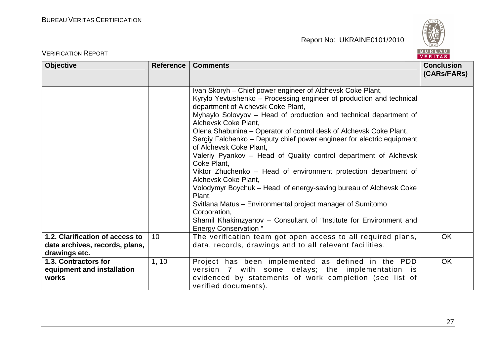

| <b>VERIFICATION REPORT</b>                                                         |                  |                                                                                                                                                                                                                                                                                                                                                                                                                                                                                                                                                                                                                                                                                                                                                                                                                                                                                                  | BUREAU<br><b>VERITAS</b>         |
|------------------------------------------------------------------------------------|------------------|--------------------------------------------------------------------------------------------------------------------------------------------------------------------------------------------------------------------------------------------------------------------------------------------------------------------------------------------------------------------------------------------------------------------------------------------------------------------------------------------------------------------------------------------------------------------------------------------------------------------------------------------------------------------------------------------------------------------------------------------------------------------------------------------------------------------------------------------------------------------------------------------------|----------------------------------|
| <b>Objective</b>                                                                   | <b>Reference</b> | <b>Comments</b>                                                                                                                                                                                                                                                                                                                                                                                                                                                                                                                                                                                                                                                                                                                                                                                                                                                                                  | <b>Conclusion</b><br>(CARs/FARs) |
|                                                                                    |                  | Ivan Skoryh – Chief power engineer of Alchevsk Coke Plant,<br>Kyrylo Yevtushenko - Processing engineer of production and technical<br>department of Alchevsk Coke Plant,<br>Myhaylo Solovyov - Head of production and technical department of<br>Alchevsk Coke Plant,<br>Olena Shabunina – Operator of control desk of Alchevsk Coke Plant,<br>Sergiy Falchenko – Deputy chief power engineer for electric equipment<br>of Alchevsk Coke Plant,<br>Valeriy Pyankov – Head of Quality control department of Alchevsk<br>Coke Plant,<br>Viktor Zhuchenko – Head of environment protection department of<br>Alchevsk Coke Plant,<br>Volodymyr Boychuk – Head of energy-saving bureau of Alchevsk Coke<br>Plant,<br>Svitlana Matus – Environmental project manager of Sumitomo<br>Corporation,<br>Shamil Khakimzyanov – Consultant of "Institute for Environment and<br><b>Energy Conservation</b> " |                                  |
| 1.2. Clarification of access to<br>data archives, records, plans,<br>drawings etc. | 10 <sup>°</sup>  | The verification team got open access to all required plans,<br>data, records, drawings and to all relevant facilities.                                                                                                                                                                                                                                                                                                                                                                                                                                                                                                                                                                                                                                                                                                                                                                          | <b>OK</b>                        |
| 1.3. Contractors for<br>equipment and installation<br>works                        | 1, 10            | Project has been implemented as defined in the PDD<br>version 7 with some delays; the implementation is<br>evidenced by statements of work completion (see list of<br>verified documents).                                                                                                                                                                                                                                                                                                                                                                                                                                                                                                                                                                                                                                                                                                       | OK                               |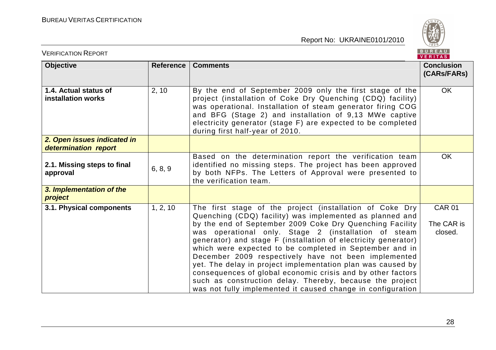

| <b>VERIFICATION REPORT</b>                          |                  |                                                                                                                                                                                                                                                                                                                                                                                                                                                                                                                                                                                                                                                                                        | BUREAU<br><b>VERITAS</b>               |
|-----------------------------------------------------|------------------|----------------------------------------------------------------------------------------------------------------------------------------------------------------------------------------------------------------------------------------------------------------------------------------------------------------------------------------------------------------------------------------------------------------------------------------------------------------------------------------------------------------------------------------------------------------------------------------------------------------------------------------------------------------------------------------|----------------------------------------|
| <b>Objective</b>                                    | <b>Reference</b> | <b>Comments</b>                                                                                                                                                                                                                                                                                                                                                                                                                                                                                                                                                                                                                                                                        | <b>Conclusion</b><br>(CARs/FARs)       |
| 1.4. Actual status of<br>installation works         | 2, 10            | By the end of September 2009 only the first stage of the<br>project (installation of Coke Dry Quenching (CDQ) facility)<br>was operational. Installation of steam generator firing COG<br>and BFG (Stage 2) and installation of 9,13 MWe captive<br>electricity generator (stage F) are expected to be completed<br>during first half-year of 2010.                                                                                                                                                                                                                                                                                                                                    | <b>OK</b>                              |
| 2. Open issues indicated in<br>determination report |                  |                                                                                                                                                                                                                                                                                                                                                                                                                                                                                                                                                                                                                                                                                        |                                        |
| 2.1. Missing steps to final<br>approval             | 6, 8, 9          | Based on the determination report the verification team<br>identified no missing steps. The project has been approved<br>by both NFPs. The Letters of Approval were presented to<br>the verification team.                                                                                                                                                                                                                                                                                                                                                                                                                                                                             | <b>OK</b>                              |
| 3. Implementation of the<br>project                 |                  |                                                                                                                                                                                                                                                                                                                                                                                                                                                                                                                                                                                                                                                                                        |                                        |
| 3.1. Physical components                            | 1, 2, 10         | The first stage of the project (installation of Coke Dry<br>Quenching (CDQ) facility) was implemented as planned and<br>by the end of September 2009 Coke Dry Quenching Facility<br>was operational only. Stage 2 (installation of steam<br>generator) and stage F (installation of electricity generator)<br>which were expected to be completed in September and in<br>December 2009 respectively have not been implemented<br>yet. The delay in project implementation plan was caused by<br>consequences of global economic crisis and by other factors<br>such as construction delay. Thereby, because the project<br>was not fully implemented it caused change in configuration | <b>CAR 01</b><br>The CAR is<br>closed. |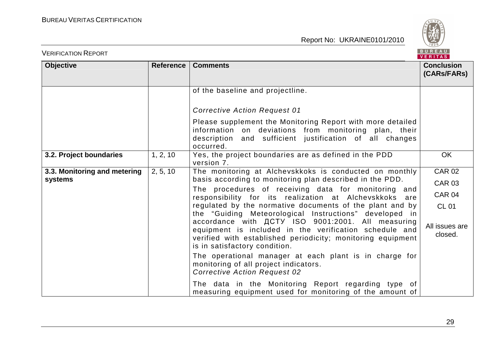

| <b>VERIFICATION REPORT</b>              |                  |                                                                                                                                                                                                                     | BUREAU<br><b>VERITAS</b>         |
|-----------------------------------------|------------------|---------------------------------------------------------------------------------------------------------------------------------------------------------------------------------------------------------------------|----------------------------------|
| Objective                               | <b>Reference</b> | <b>Comments</b>                                                                                                                                                                                                     | <b>Conclusion</b><br>(CARs/FARs) |
|                                         |                  | of the baseline and projectline.                                                                                                                                                                                    |                                  |
|                                         |                  | <b>Corrective Action Request 01</b>                                                                                                                                                                                 |                                  |
|                                         |                  | Please supplement the Monitoring Report with more detailed<br>information on deviations from monitoring plan, their<br>description and sufficient justification of all changes<br>occurred.                         |                                  |
| 3.2. Project boundaries                 | 1, 2, 10         | Yes, the project boundaries are as defined in the PDD<br>version 7.                                                                                                                                                 | <b>OK</b>                        |
| 3.3. Monitoring and metering<br>systems | 2, 5, 10         | The monitoring at Alchevskkoks is conducted on monthly<br>basis according to monitoring plan described in the PDD.                                                                                                  | <b>CAR 02</b><br><b>CAR 03</b>   |
|                                         |                  | The procedures of receiving data for monitoring and<br>responsibility for its realization at Alchevskkoks are                                                                                                       | <b>CAR 04</b>                    |
|                                         |                  | regulated by the normative documents of the plant and by<br>the "Guiding Meteorological Instructions" developed in                                                                                                  | <b>CL 01</b>                     |
|                                         |                  | accordance with <b>ACTY ISO 9001:2001</b> . All measuring<br>equipment is included in the verification schedule and<br>verified with established periodicity; monitoring equipment<br>is in satisfactory condition. | All issues are<br>closed.        |
|                                         |                  | The operational manager at each plant is in charge for<br>monitoring of all project indicators.<br><b>Corrective Action Request 02</b>                                                                              |                                  |
|                                         |                  | The data in the Monitoring Report regarding type of<br>measuring equipment used for monitoring of the amount of                                                                                                     |                                  |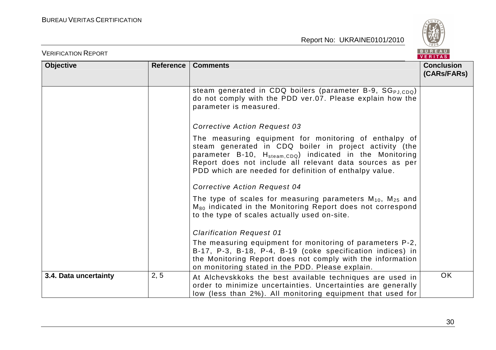

| <b>VERIFICATION REPORT</b> |                  |                                                                                                                                                                                                                                                                                                               | <b>BUREAU</b><br><b>VERITAS</b>  |
|----------------------------|------------------|---------------------------------------------------------------------------------------------------------------------------------------------------------------------------------------------------------------------------------------------------------------------------------------------------------------|----------------------------------|
| <b>Objective</b>           | <b>Reference</b> | <b>Comments</b>                                                                                                                                                                                                                                                                                               | <b>Conclusion</b><br>(CARs/FARs) |
|                            |                  | steam generated in CDQ boilers (parameter B-9, SG <sub>PJ.CDQ</sub> )<br>do not comply with the PDD ver.07. Please explain how the<br>parameter is measured.                                                                                                                                                  |                                  |
|                            |                  | <b>Corrective Action Request 03</b>                                                                                                                                                                                                                                                                           |                                  |
|                            |                  | The measuring equipment for monitoring of enthalpy of<br>steam generated in CDQ boiler in project activity (the<br>parameter B-10, H <sub>steam,CDQ</sub> ) indicated in the Monitoring<br>Report does not include all relevant data sources as per<br>PDD which are needed for definition of enthalpy value. |                                  |
|                            |                  | <b>Corrective Action Request 04</b>                                                                                                                                                                                                                                                                           |                                  |
|                            |                  | The type of scales for measuring parameters $M_{10}$ , $M_{25}$ and<br>M <sub>80</sub> indicated in the Monitoring Report does not correspond<br>to the type of scales actually used on-site.                                                                                                                 |                                  |
|                            |                  | <b>Clarification Request 01</b>                                                                                                                                                                                                                                                                               |                                  |
|                            |                  | The measuring equipment for monitoring of parameters P-2,<br>B-17, P-3, B-18, P-4, B-19 (coke specification indices) in<br>the Monitoring Report does not comply with the information<br>on monitoring stated in the PDD. Please explain.                                                                     |                                  |
| 3.4. Data uncertainty      | 2, 5             | At Alchevskkoks the best available techniques are used in<br>order to minimize uncertainties. Uncertainties are generally<br>low (less than 2%). All monitoring equipment that used for                                                                                                                       | OK                               |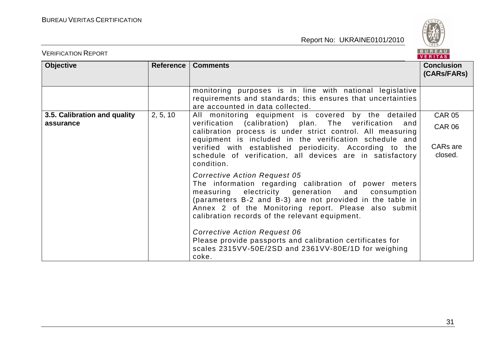

| <b>VERIFICATION REPORT</b>                |                  |                                                                                                                                                                                                                                                                                                                         | BUREAU<br><b>VERITAS</b>                   |
|-------------------------------------------|------------------|-------------------------------------------------------------------------------------------------------------------------------------------------------------------------------------------------------------------------------------------------------------------------------------------------------------------------|--------------------------------------------|
| <b>Objective</b>                          | <b>Reference</b> | <b>Comments</b>                                                                                                                                                                                                                                                                                                         | <b>Conclusion</b><br>(CARs/FARs)           |
|                                           |                  | monitoring purposes is in line with national legislative<br>requirements and standards; this ensures that uncertainties<br>are accounted in data collected.                                                                                                                                                             |                                            |
| 3.5. Calibration and quality<br>assurance | 2, 5, 10         | All monitoring equipment is covered by the detailed<br>verification (calibration) plan. The verification<br>and<br>calibration process is under strict control. All measuring<br>equipment is included in the verification schedule and<br>verified with established periodicity. According to the                      | <b>CAR 05</b><br><b>CAR 06</b><br>CARs are |
|                                           |                  | schedule of verification, all devices are in satisfactory<br>condition.                                                                                                                                                                                                                                                 | closed.                                    |
|                                           |                  | <b>Corrective Action Request 05</b><br>The information regarding calibration of power meters<br>measuring electricity generation and consumption<br>(parameters B-2 and B-3) are not provided in the table in<br>Annex 2 of the Monitoring report. Please also submit<br>calibration records of the relevant equipment. |                                            |
|                                           |                  | <b>Corrective Action Request 06</b><br>Please provide passports and calibration certificates for<br>scales 2315VV-50E/2SD and 2361VV-80E/1D for weighing<br>coke.                                                                                                                                                       |                                            |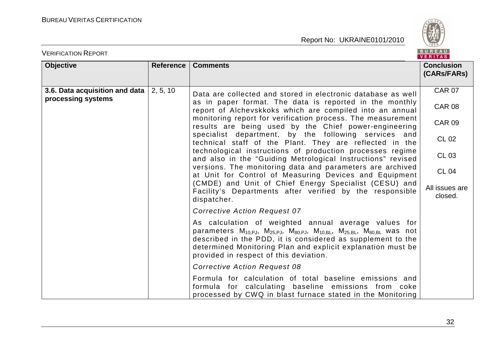

| <b>VERIFICATION REPORT</b>                           |                  |                                                                                                                                                                                                                                                                                                                                      | BUREAU<br>VERITAS                |
|------------------------------------------------------|------------------|--------------------------------------------------------------------------------------------------------------------------------------------------------------------------------------------------------------------------------------------------------------------------------------------------------------------------------------|----------------------------------|
| <b>Objective</b>                                     | <b>Reference</b> | <b>Comments</b>                                                                                                                                                                                                                                                                                                                      | <b>Conclusion</b><br>(CARs/FARs) |
| 3.6. Data acquisition and data<br>processing systems | 2, 5, 10         | Data are collected and stored in electronic database as well<br>as in paper format. The data is reported in the monthly<br>report of Alchevskkoks which are compiled into an annual                                                                                                                                                  | <b>CAR 07</b><br><b>CAR 08</b>   |
|                                                      |                  | monitoring report for verification process. The measurement<br>results are being used by the Chief power-engineering                                                                                                                                                                                                                 | <b>CAR 09</b>                    |
|                                                      |                  | specialist department, by the following services and<br>technical staff of the Plant. They are reflected in the                                                                                                                                                                                                                      | <b>CL 02</b>                     |
|                                                      |                  | technological instructions of production processes regime<br>and also in the "Guiding Metrological Instructions" revised                                                                                                                                                                                                             | <b>CL 03</b>                     |
|                                                      |                  | versions. The monitoring data and parameters are archived<br>at Unit for Control of Measuring Devices and Equipment                                                                                                                                                                                                                  | <b>CL 04</b>                     |
|                                                      |                  | (CMDE) and Unit of Chief Energy Specialist (CESU) and<br>Facility's Departments after verified by the responsible<br>dispatcher.                                                                                                                                                                                                     | All issues are<br>closed.        |
|                                                      |                  | <b>Corrective Action Request 07</b>                                                                                                                                                                                                                                                                                                  |                                  |
|                                                      |                  | As calculation of weighted annual average values for<br>parameters $M_{10,PJ}$ , $M_{25,PJ}$ , $M_{80,PJ}$ , $M_{10,BL}$ , $M_{25,BL}$ , $M_{80,BL}$ was not<br>described in the PDD, it is considered as supplement to the<br>determined Monitoring Plan and explicit explanation must be<br>provided in respect of this deviation. |                                  |
|                                                      |                  | <b>Corrective Action Request 08</b>                                                                                                                                                                                                                                                                                                  |                                  |
|                                                      |                  | Formula for calculation of total baseline emissions and<br>formula for calculating baseline emissions from coke<br>processed by CWQ in blast furnace stated in the Monitoring                                                                                                                                                        |                                  |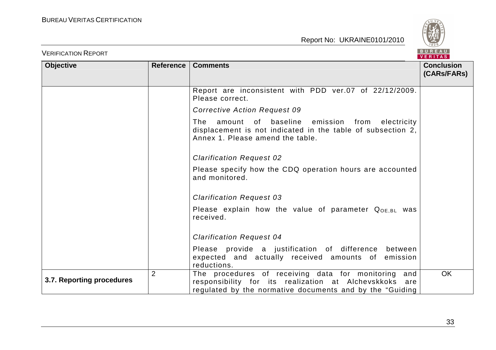

| <b>VERIFICATION REPORT</b> |                |                                                                                                                                                                               | <b>BUREAU</b><br>VERITAS         |
|----------------------------|----------------|-------------------------------------------------------------------------------------------------------------------------------------------------------------------------------|----------------------------------|
| <b>Objective</b>           |                | Reference   Comments                                                                                                                                                          | <b>Conclusion</b><br>(CARs/FARs) |
|                            |                | Report are inconsistent with PDD ver.07 of 22/12/2009.<br>Please correct.                                                                                                     |                                  |
|                            |                | <b>Corrective Action Request 09</b>                                                                                                                                           |                                  |
|                            |                | amount of baseline emission from electricity<br>The<br>displacement is not indicated in the table of subsection 2,<br>Annex 1. Please amend the table.                        |                                  |
|                            |                | <b>Clarification Request 02</b>                                                                                                                                               |                                  |
|                            |                | Please specify how the CDQ operation hours are accounted<br>and monitored.                                                                                                    |                                  |
|                            |                | <b>Clarification Request 03</b>                                                                                                                                               |                                  |
|                            |                | Please explain how the value of parameter $Q_{OE, BL}$ was<br>received.                                                                                                       |                                  |
|                            |                | <b>Clarification Request 04</b>                                                                                                                                               |                                  |
|                            |                | Please provide a justification of difference between<br>expected and actually received amounts of emission<br>reductions.                                                     |                                  |
| 3.7. Reporting procedures  | $\overline{2}$ | The procedures of receiving data for monitoring<br>and<br>responsibility for its realization at Alchevskkoks are<br>regulated by the normative documents and by the "Guiding" | <b>OK</b>                        |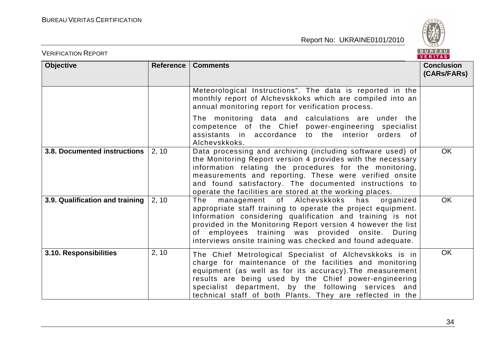

| <b>VERIFICATION REPORT</b>          |                  |                                                                                                                                                                                                                                                                                                                                                                       | BUREAU<br><b>VERITAS</b>         |
|-------------------------------------|------------------|-----------------------------------------------------------------------------------------------------------------------------------------------------------------------------------------------------------------------------------------------------------------------------------------------------------------------------------------------------------------------|----------------------------------|
| <b>Objective</b>                    | <b>Reference</b> | <b>Comments</b>                                                                                                                                                                                                                                                                                                                                                       | <b>Conclusion</b><br>(CARs/FARs) |
|                                     |                  | Meteorological Instructions". The data is reported in the<br>monthly report of Alchevskkoks which are compiled into an<br>annual monitoring report for verification process.                                                                                                                                                                                          |                                  |
|                                     |                  | The monitoring data and calculations are under the<br>competence of the Chief power-engineering specialist<br>assistants in accordance to the interior orders of<br>Alchevskkoks.                                                                                                                                                                                     |                                  |
| <b>3.8. Documented instructions</b> | 2, 10            | Data processing and archiving (including software used) of<br>the Monitoring Report version 4 provides with the necessary<br>information relating the procedures for the monitoring,<br>measurements and reporting. These were verified onsite<br>and found satisfactory. The documented instructions to<br>operate the facilities are stored at the working places.  | <b>OK</b>                        |
| 3.9. Qualification and training     | 2, 10            | The<br>management of Alchevskkoks<br>has<br>organized<br>appropriate staff training to operate the project equipment.<br>Information considering qualification and training is not<br>provided in the Monitoring Report version 4 however the list<br>of employees training was provided onsite. During<br>interviews onsite training was checked and found adequate. | <b>OK</b>                        |
| 3.10. Responsibilities              | 2, 10            | The Chief Metrological Specialist of Alchevskkoks is in<br>charge for maintenance of the facilities and monitoring<br>equipment (as well as for its accuracy). The measurement<br>results are being used by the Chief power-engineering<br>specialist department, by the following services and<br>technical staff of both Plants. They are reflected in the          | <b>OK</b>                        |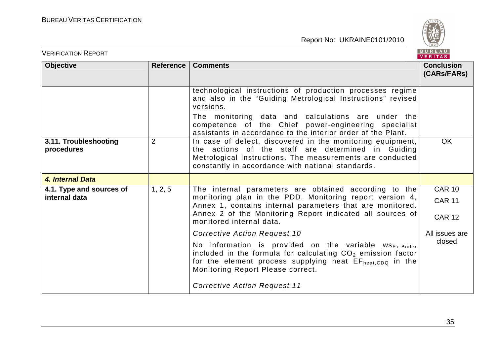

| <b>VERIFICATION REPORT</b>                |                  |                                                                                                                                                                                                                                                                         | BUREAU<br><b>VERITAS</b>                        |
|-------------------------------------------|------------------|-------------------------------------------------------------------------------------------------------------------------------------------------------------------------------------------------------------------------------------------------------------------------|-------------------------------------------------|
| <b>Objective</b>                          | <b>Reference</b> | <b>Comments</b>                                                                                                                                                                                                                                                         | <b>Conclusion</b><br>(CARs/FARs)                |
|                                           |                  | technological instructions of production processes regime<br>and also in the "Guiding Metrological Instructions" revised<br>versions.<br>The monitoring data and calculations are under the                                                                             |                                                 |
|                                           |                  | competence of the Chief power-engineering specialist<br>assistants in accordance to the interior order of the Plant.                                                                                                                                                    |                                                 |
| 3.11. Troubleshooting<br>procedures       | $\overline{2}$   | In case of defect, discovered in the monitoring equipment,<br>the actions of the staff are determined in Guiding<br>Metrological Instructions. The measurements are conducted<br>constantly in accordance with national standards.                                      | <b>OK</b>                                       |
| 4. Internal Data                          |                  |                                                                                                                                                                                                                                                                         |                                                 |
| 4.1. Type and sources of<br>internal data | 1, 2, 5          | The internal parameters are obtained according to the<br>monitoring plan in the PDD. Monitoring report version 4,<br>Annex 1, contains internal parameters that are monitored.<br>Annex 2 of the Monitoring Report indicated all sources of<br>monitored internal data. | <b>CAR 10</b><br><b>CAR 11</b><br><b>CAR 12</b> |
|                                           |                  | <b>Corrective Action Request 10</b>                                                                                                                                                                                                                                     | All issues are                                  |
|                                           |                  | No information is provided on the variable $ws_{Ex\text{-Boiler}}$<br>included in the formula for calculating CO <sub>2</sub> emission factor<br>for the element process supplying heat EFheat, CDQ in the<br>Monitoring Report Please correct.                         | closed                                          |
|                                           |                  | <b>Corrective Action Request 11</b>                                                                                                                                                                                                                                     |                                                 |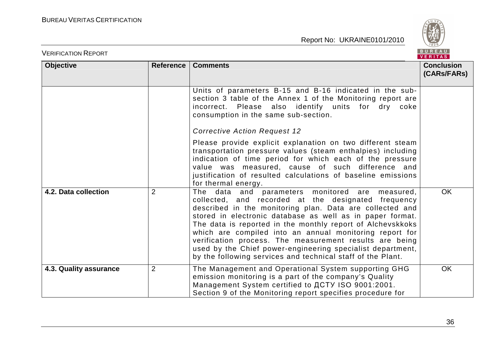

| <b>VERIFICATION REPORT</b> |                  |                                                                                                                                                                                                                                                                                                                                                                                                                                                                                                                                                  | BUREAU<br><b>VERITAS</b>         |
|----------------------------|------------------|--------------------------------------------------------------------------------------------------------------------------------------------------------------------------------------------------------------------------------------------------------------------------------------------------------------------------------------------------------------------------------------------------------------------------------------------------------------------------------------------------------------------------------------------------|----------------------------------|
| <b>Objective</b>           | <b>Reference</b> | <b>Comments</b>                                                                                                                                                                                                                                                                                                                                                                                                                                                                                                                                  | <b>Conclusion</b><br>(CARs/FARs) |
|                            |                  | Units of parameters B-15 and B-16 indicated in the sub-<br>section 3 table of the Annex 1 of the Monitoring report are<br>incorrect. Please also identify units for dry coke<br>consumption in the same sub-section.<br><b>Corrective Action Request 12</b>                                                                                                                                                                                                                                                                                      |                                  |
|                            |                  | Please provide explicit explanation on two different steam<br>transportation pressure values (steam enthalpies) including<br>indication of time period for which each of the pressure<br>value was measured, cause of such difference and<br>justification of resulted calculations of baseline emissions<br>for thermal energy.                                                                                                                                                                                                                 |                                  |
| 4.2. Data collection       | $\overline{2}$   | The data and parameters monitored are measured,<br>collected, and recorded at the designated frequency<br>described in the monitoring plan. Data are collected and<br>stored in electronic database as well as in paper format.<br>The data is reported in the monthly report of Alchevskkoks<br>which are compiled into an annual monitoring report for<br>verification process. The measurement results are being<br>used by the Chief power-engineering specialist department,<br>by the following services and technical staff of the Plant. | <b>OK</b>                        |
| 4.3. Quality assurance     | $\overline{2}$   | The Management and Operational System supporting GHG<br>emission monitoring is a part of the company's Quality<br>Management System certified to ДСТУ ISO 9001:2001.<br>Section 9 of the Monitoring report specifies procedure for                                                                                                                                                                                                                                                                                                               | <b>OK</b>                        |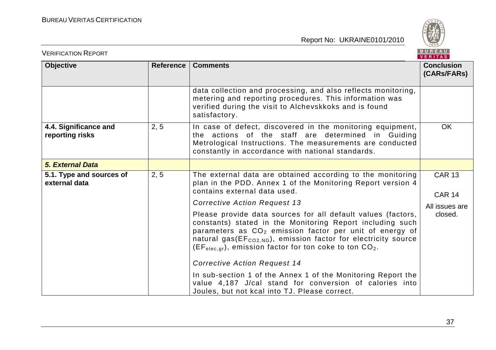

| <b>VERIFICATION REPORT</b>                |                                                                                                                                                                                                                                                                                                                                                  |                                                                                                                                                                                                                                    | BUREAU<br>VERITAS                |
|-------------------------------------------|--------------------------------------------------------------------------------------------------------------------------------------------------------------------------------------------------------------------------------------------------------------------------------------------------------------------------------------------------|------------------------------------------------------------------------------------------------------------------------------------------------------------------------------------------------------------------------------------|----------------------------------|
| <b>Objective</b>                          | Reference                                                                                                                                                                                                                                                                                                                                        | <b>Comments</b>                                                                                                                                                                                                                    | <b>Conclusion</b><br>(CARs/FARs) |
|                                           |                                                                                                                                                                                                                                                                                                                                                  | data collection and processing, and also reflects monitoring,<br>metering and reporting procedures. This information was<br>verified during the visit to Alchevskkoks and is found<br>satisfactory.                                |                                  |
| 4.4. Significance and<br>reporting risks  | 2, 5                                                                                                                                                                                                                                                                                                                                             | In case of defect, discovered in the monitoring equipment,<br>the actions of the staff are determined in Guiding<br>Metrological Instructions. The measurements are conducted<br>constantly in accordance with national standards. | <b>OK</b>                        |
| <b>5. External Data</b>                   |                                                                                                                                                                                                                                                                                                                                                  |                                                                                                                                                                                                                                    |                                  |
| 5.1. Type and sources of<br>external data | 2, 5                                                                                                                                                                                                                                                                                                                                             | The external data are obtained according to the monitoring<br>plan in the PDD. Annex 1 of the Monitoring Report version 4<br>contains external data used.                                                                          | <b>CAR 13</b><br><b>CAR 14</b>   |
|                                           |                                                                                                                                                                                                                                                                                                                                                  | <b>Corrective Action Request 13</b>                                                                                                                                                                                                | All issues are                   |
|                                           | Please provide data sources for all default values (factors,<br>constants) stated in the Monitoring Report including such<br>parameters as CO <sub>2</sub> emission factor per unit of energy of<br>natural gas(EF <sub>CO2,NG</sub> ), emission factor for electricity source<br>$(EF_{elec,gr})$ , emission factor for ton coke to ton $CO2$ . | closed.                                                                                                                                                                                                                            |                                  |
|                                           |                                                                                                                                                                                                                                                                                                                                                  | <b>Corrective Action Request 14</b>                                                                                                                                                                                                |                                  |
|                                           |                                                                                                                                                                                                                                                                                                                                                  | In sub-section 1 of the Annex 1 of the Monitoring Report the<br>value 4,187 J/cal stand for conversion of calories into<br>Joules, but not kcal into TJ. Please correct.                                                           |                                  |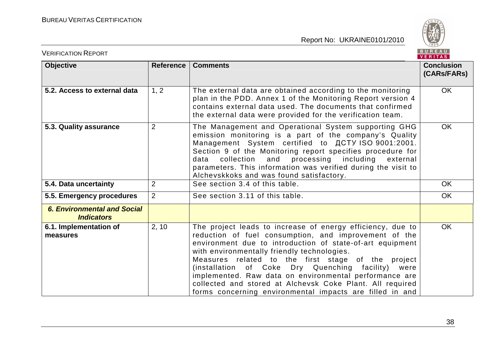

| <b>VERIFICATION REPORT</b>                              |                  |                                                                                                                                                                                                                                                                                                                                                                                                                                                                                                                                   | BUREAU<br><b>VERITAS</b>         |
|---------------------------------------------------------|------------------|-----------------------------------------------------------------------------------------------------------------------------------------------------------------------------------------------------------------------------------------------------------------------------------------------------------------------------------------------------------------------------------------------------------------------------------------------------------------------------------------------------------------------------------|----------------------------------|
| <b>Objective</b>                                        | <b>Reference</b> | <b>Comments</b>                                                                                                                                                                                                                                                                                                                                                                                                                                                                                                                   | <b>Conclusion</b><br>(CARs/FARs) |
| 5.2. Access to external data                            | 1, 2             | The external data are obtained according to the monitoring<br>plan in the PDD. Annex 1 of the Monitoring Report version 4<br>contains external data used. The documents that confirmed<br>the external data were provided for the verification team.                                                                                                                                                                                                                                                                              | <b>OK</b>                        |
| 5.3. Quality assurance                                  | $\overline{2}$   | The Management and Operational System supporting GHG<br>emission monitoring is a part of the company's Quality<br>Management System certified to ДСТУ ISO 9001:2001.<br>Section 9 of the Monitoring report specifies procedure for<br>collection<br>and processing including<br>data<br>external<br>parameters. This information was verified during the visit to<br>Alchevskkoks and was found satisfactory.                                                                                                                     | <b>OK</b>                        |
| 5.4. Data uncertainty                                   | $\overline{2}$   | See section 3.4 of this table.                                                                                                                                                                                                                                                                                                                                                                                                                                                                                                    | <b>OK</b>                        |
| 5.5. Emergency procedures                               | $\overline{2}$   | See section 3.11 of this table.                                                                                                                                                                                                                                                                                                                                                                                                                                                                                                   | <b>OK</b>                        |
| <b>6. Environmental and Social</b><br><b>Indicators</b> |                  |                                                                                                                                                                                                                                                                                                                                                                                                                                                                                                                                   |                                  |
| 6.1. Implementation of<br>measures                      | 2, 10            | The project leads to increase of energy efficiency, due to<br>reduction of fuel consumption, and improvement of the<br>environment due to introduction of state-of-art equipment<br>with environmentally friendly technologies.<br>Measures related to the first stage of the project<br>(installation of Coke Dry Quenching facility)<br>were<br>implemented. Raw data on environmental performance are<br>collected and stored at Alchevsk Coke Plant. All required<br>forms concerning environmental impacts are filled in and | <b>OK</b>                        |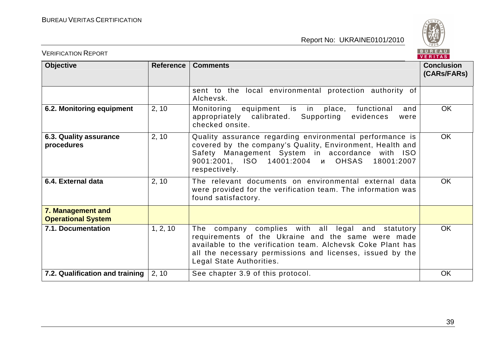

| <b>VERIFICATION REPORT</b>                     |                  |                                                                                                                                                                                                                                                                 | BUREAU<br>VERITAS                |
|------------------------------------------------|------------------|-----------------------------------------------------------------------------------------------------------------------------------------------------------------------------------------------------------------------------------------------------------------|----------------------------------|
| <b>Objective</b>                               | <b>Reference</b> | <b>Comments</b>                                                                                                                                                                                                                                                 | <b>Conclusion</b><br>(CARs/FARs) |
|                                                |                  | sent to the local environmental protection authority of<br>Alchevsk.                                                                                                                                                                                            |                                  |
| 6.2. Monitoring equipment                      | 2, 10            | Monitoring equipment is in<br>place, functional<br>and<br>appropriately calibrated.<br>Supporting<br>evidences<br>were<br>checked onsite.                                                                                                                       | <b>OK</b>                        |
| 6.3. Quality assurance<br>procedures           | 2, 10            | Quality assurance regarding environmental performance is<br>covered by the company's Quality, Environment, Health and<br>Safety Management System in accordance with ISO<br>9001:2001, ISO 14001:2004 и OHSAS<br>18001:2007<br>respectively.                    | <b>OK</b>                        |
| 6.4. External data                             | 2, 10            | The relevant documents on environmental external data<br>were provided for the verification team. The information was<br>found satisfactory.                                                                                                                    | <b>OK</b>                        |
| 7. Management and<br><b>Operational System</b> |                  |                                                                                                                                                                                                                                                                 |                                  |
| 7.1. Documentation                             | 1, 2, 10         | The company complies with all legal and statutory<br>requirements of the Ukraine and the same were made<br>available to the verification team. Alchevsk Coke Plant has<br>all the necessary permissions and licenses, issued by the<br>Legal State Authorities. | <b>OK</b>                        |
| 7.2. Qualification and training                | 2, 10            | See chapter 3.9 of this protocol.                                                                                                                                                                                                                               | <b>OK</b>                        |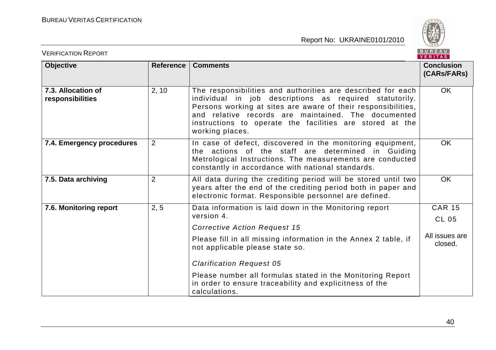

| <b>VERIFICATION REPORT</b>             |                  |                                                                                                                                                                                                                                                                                                                                                                                                | BUREAU<br>VERITAS                                          |
|----------------------------------------|------------------|------------------------------------------------------------------------------------------------------------------------------------------------------------------------------------------------------------------------------------------------------------------------------------------------------------------------------------------------------------------------------------------------|------------------------------------------------------------|
| <b>Objective</b>                       | <b>Reference</b> | <b>Comments</b>                                                                                                                                                                                                                                                                                                                                                                                | <b>Conclusion</b><br>(CARs/FARs)                           |
| 7.3. Allocation of<br>responsibilities | 2, 10            | The responsibilities and authorities are described for each<br>individual in job descriptions as required statutorily.<br>Persons working at sites are aware of their responsibilities,<br>and relative records are maintained. The documented<br>instructions to operate the facilities are stored at the<br>working places.                                                                  | <b>OK</b>                                                  |
| 7.4. Emergency procedures              | 2                | In case of defect, discovered in the monitoring equipment,<br>the actions of the staff are determined in Guiding<br>Metrological Instructions. The measurements are conducted<br>constantly in accordance with national standards.                                                                                                                                                             | <b>OK</b>                                                  |
| 7.5. Data archiving                    | $\overline{2}$   | All data during the crediting period will be stored until two<br>years after the end of the crediting period both in paper and<br>electronic format. Responsible personnel are defined.                                                                                                                                                                                                        | <b>OK</b>                                                  |
| 7.6. Monitoring report                 | 2, 5             | Data information is laid down in the Monitoring report<br>version 4.<br><b>Corrective Action Request 15</b><br>Please fill in all missing information in the Annex 2 table, if<br>not applicable please state so.<br><b>Clarification Request 05</b><br>Please number all formulas stated in the Monitoring Report<br>in order to ensure traceability and explicitness of the<br>calculations. | <b>CAR 15</b><br><b>CL 05</b><br>All issues are<br>closed. |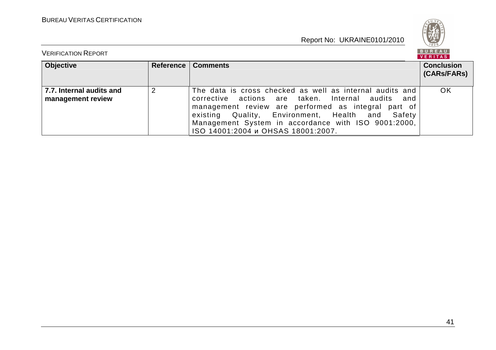

| <b>VERIFICATION REPORT</b>                    |                |                                                                                                                                                                                                                                                                                                                          | B U K E A U  <br>VERITAS         |
|-----------------------------------------------|----------------|--------------------------------------------------------------------------------------------------------------------------------------------------------------------------------------------------------------------------------------------------------------------------------------------------------------------------|----------------------------------|
| <b>Objective</b>                              | Reference      | <b>Comments</b>                                                                                                                                                                                                                                                                                                          | <b>Conclusion</b><br>(CARs/FARs) |
| 7.7. Internal audits and<br>management review | $\overline{2}$ | The data is cross checked as well as internal audits and<br>corrective actions are taken. Internal audits<br>and<br>management review are performed as integral part of<br>existing Quality, Environment, Health and Safety<br>Management System in accordance with ISO 9001:2000,<br>ISO 14001:2004 и OHSAS 18001:2007. | OK                               |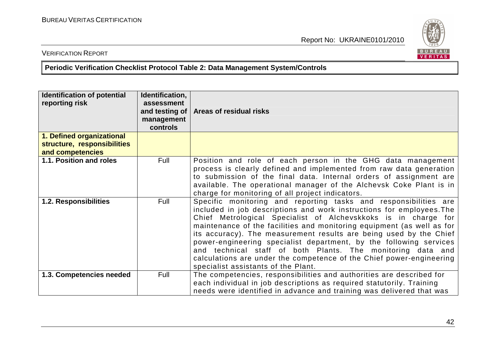

# VERIFICATION REPORT

**Periodic Verification Checklist Protocol Table 2: Data Management System/Controls** 

| <b>Identification of potential</b><br>reporting risk                         | Identification,<br>assessment<br>and testing of<br>management<br>controls | Areas of residual risks                                                                                                                                                                                                                                                                                                                                                                                                                                                                                                                                                                                         |
|------------------------------------------------------------------------------|---------------------------------------------------------------------------|-----------------------------------------------------------------------------------------------------------------------------------------------------------------------------------------------------------------------------------------------------------------------------------------------------------------------------------------------------------------------------------------------------------------------------------------------------------------------------------------------------------------------------------------------------------------------------------------------------------------|
| 1. Defined organizational<br>structure, responsibilities<br>and competencies |                                                                           |                                                                                                                                                                                                                                                                                                                                                                                                                                                                                                                                                                                                                 |
| 1.1. Position and roles                                                      | Full                                                                      | Position and role of each person in the GHG data management<br>process is clearly defined and implemented from raw data generation<br>to submission of the final data. Internal orders of assignment are<br>available. The operational manager of the Alchevsk Coke Plant is in<br>charge for monitoring of all project indicators.                                                                                                                                                                                                                                                                             |
| 1.2. Responsibilities                                                        | Full                                                                      | Specific monitoring and reporting tasks and responsibilities are<br>included in job descriptions and work instructions for employees. The<br>Chief Metrological Specialist of Alchevskkoks is in charge for<br>maintenance of the facilities and monitoring equipment (as well as for<br>its accuracy). The measurement results are being used by the Chief<br>power-engineering specialist department, by the following services<br>and technical staff of both Plants. The monitoring data and<br>calculations are under the competence of the Chief power-engineering<br>specialist assistants of the Plant. |
| 1.3. Competencies needed                                                     | Full                                                                      | The competencies, responsibilities and authorities are described for<br>each individual in job descriptions as required statutorily. Training<br>needs were identified in advance and training was delivered that was                                                                                                                                                                                                                                                                                                                                                                                           |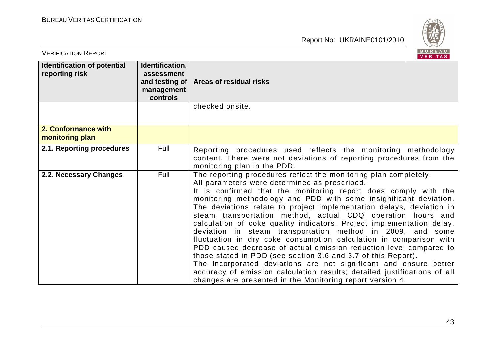

| <b>VERIFICATION REPORT</b>                           |                                                                               | BUREAU<br><b>VERITAS</b>                                                                                                                                                                                                                                                                                                                                                                                                                                                                                                                                                                                                                                                                                                                                                                                                                                                                                                                                              |
|------------------------------------------------------|-------------------------------------------------------------------------------|-----------------------------------------------------------------------------------------------------------------------------------------------------------------------------------------------------------------------------------------------------------------------------------------------------------------------------------------------------------------------------------------------------------------------------------------------------------------------------------------------------------------------------------------------------------------------------------------------------------------------------------------------------------------------------------------------------------------------------------------------------------------------------------------------------------------------------------------------------------------------------------------------------------------------------------------------------------------------|
| <b>Identification of potential</b><br>reporting risk | Identification,<br>assessment<br>and testing of $ $<br>management<br>controls | Areas of residual risks                                                                                                                                                                                                                                                                                                                                                                                                                                                                                                                                                                                                                                                                                                                                                                                                                                                                                                                                               |
|                                                      |                                                                               | checked onsite.                                                                                                                                                                                                                                                                                                                                                                                                                                                                                                                                                                                                                                                                                                                                                                                                                                                                                                                                                       |
| 2. Conformance with<br>monitoring plan               |                                                                               |                                                                                                                                                                                                                                                                                                                                                                                                                                                                                                                                                                                                                                                                                                                                                                                                                                                                                                                                                                       |
| 2.1. Reporting procedures                            | Full                                                                          | Reporting procedures used reflects the monitoring methodology<br>content. There were not deviations of reporting procedures from the<br>monitoring plan in the PDD.                                                                                                                                                                                                                                                                                                                                                                                                                                                                                                                                                                                                                                                                                                                                                                                                   |
| 2.2. Necessary Changes                               | Full                                                                          | The reporting procedures reflect the monitoring plan completely.<br>All parameters were determined as prescribed.<br>It is confirmed that the monitoring report does comply with the<br>monitoring methodology and PDD with some insignificant deviation.<br>The deviations relate to project implementation delays, deviation in<br>steam transportation method, actual CDQ operation hours and<br>calculation of coke quality indicators. Project implementation delay,<br>deviation in steam transportation method in 2009, and<br>some<br>fluctuation in dry coke consumption calculation in comparison with<br>PDD caused decrease of actual emission reduction level compared to<br>those stated in PDD (see section 3.6 and 3.7 of this Report).<br>The incorporated deviations are not significant and ensure better<br>accuracy of emission calculation results; detailed justifications of all<br>changes are presented in the Monitoring report version 4. |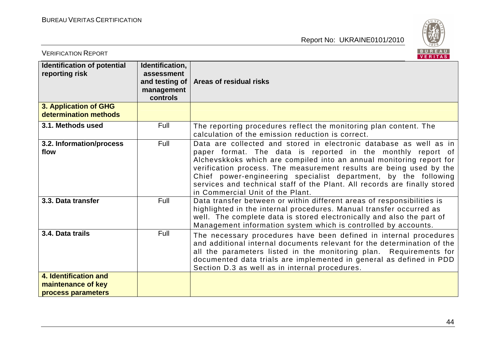

| <b>VERIFICATION REPORT</b>                                        |                                                                           | BUREAU<br><b>VERITAS</b>                                                                                                                                                                                                                                                                                                                                                                                                                                             |
|-------------------------------------------------------------------|---------------------------------------------------------------------------|----------------------------------------------------------------------------------------------------------------------------------------------------------------------------------------------------------------------------------------------------------------------------------------------------------------------------------------------------------------------------------------------------------------------------------------------------------------------|
| Identification of potential<br>reporting risk                     | Identification,<br>assessment<br>and testing of<br>management<br>controls | Areas of residual risks                                                                                                                                                                                                                                                                                                                                                                                                                                              |
| 3. Application of GHG<br>determination methods                    |                                                                           |                                                                                                                                                                                                                                                                                                                                                                                                                                                                      |
| 3.1. Methods used                                                 | Full                                                                      | The reporting procedures reflect the monitoring plan content. The<br>calculation of the emission reduction is correct.                                                                                                                                                                                                                                                                                                                                               |
| 3.2. Information/process<br>flow                                  | Full                                                                      | Data are collected and stored in electronic database as well as in<br>paper format. The data is reported in the monthly report of<br>Alchevskkoks which are compiled into an annual monitoring report for<br>verification process. The measurement results are being used by the<br>Chief power-engineering specialist department, by the following<br>services and technical staff of the Plant. All records are finally stored<br>in Commercial Unit of the Plant. |
| 3.3. Data transfer                                                | Full                                                                      | Data transfer between or within different areas of responsibilities is<br>highlighted in the internal procedures. Manual transfer occurred as<br>well. The complete data is stored electronically and also the part of<br>Management information system which is controlled by accounts.                                                                                                                                                                             |
| 3.4. Data trails                                                  | Full                                                                      | The necessary procedures have been defined in internal procedures<br>and additional internal documents relevant for the determination of the<br>all the parameters listed in the monitoring plan. Requirements for<br>documented data trials are implemented in general as defined in PDD<br>Section D.3 as well as in internal procedures.                                                                                                                          |
| 4. Identification and<br>maintenance of key<br>process parameters |                                                                           |                                                                                                                                                                                                                                                                                                                                                                                                                                                                      |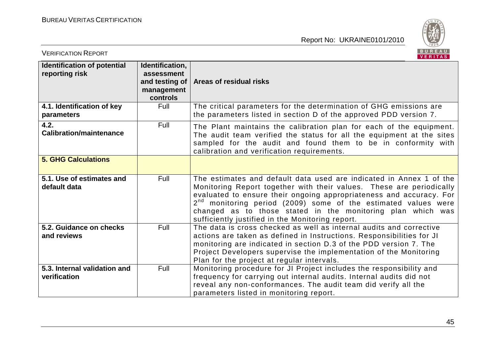

| <b>VERIFICATION REPORT</b>                           |                                                                           | BUREAU<br>VERITAS                                                                                                                                                                                                                                                                                                                                                                                         |
|------------------------------------------------------|---------------------------------------------------------------------------|-----------------------------------------------------------------------------------------------------------------------------------------------------------------------------------------------------------------------------------------------------------------------------------------------------------------------------------------------------------------------------------------------------------|
| <b>Identification of potential</b><br>reporting risk | Identification,<br>assessment<br>and testing of<br>management<br>controls | Areas of residual risks                                                                                                                                                                                                                                                                                                                                                                                   |
| 4.1. Identification of key<br>parameters             | Full                                                                      | The critical parameters for the determination of GHG emissions are<br>the parameters listed in section D of the approved PDD version 7.                                                                                                                                                                                                                                                                   |
| 4.2.<br><b>Calibration/maintenance</b>               | Full                                                                      | The Plant maintains the calibration plan for each of the equipment.<br>The audit team verified the status for all the equipment at the sites<br>sampled for the audit and found them to be in conformity with<br>calibration and verification requirements.                                                                                                                                               |
| <b>5. GHG Calculations</b>                           |                                                                           |                                                                                                                                                                                                                                                                                                                                                                                                           |
| 5.1. Use of estimates and<br>default data            | Full                                                                      | The estimates and default data used are indicated in Annex 1 of the<br>Monitoring Report together with their values. These are periodically<br>evaluated to ensure their ongoing appropriateness and accuracy. For<br>$2nd$ monitoring period (2009) some of the estimated values were<br>changed as to those stated in the monitoring plan which was<br>sufficiently justified in the Monitoring report. |
| 5.2. Guidance on checks<br>and reviews               | Full                                                                      | The data is cross checked as well as internal audits and corrective<br>actions are taken as defined in Instructions. Responsibilities for JI<br>monitoring are indicated in section D.3 of the PDD version 7. The<br>Project Developers supervise the implementation of the Monitoring<br>Plan for the project at regular intervals.                                                                      |
| 5.3. Internal validation and<br>verification         | Full                                                                      | Monitoring procedure for JI Project includes the responsibility and<br>frequency for carrying out internal audits. Internal audits did not<br>reveal any non-conformances. The audit team did verify all the<br>parameters listed in monitoring report.                                                                                                                                                   |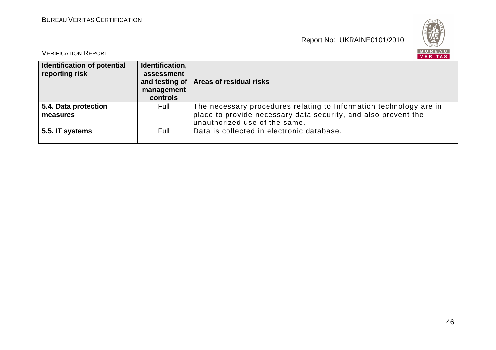

| <b>VERIFICATION REPORT</b>                    |                               | BUREAU<br>VERITAS                                                                               |
|-----------------------------------------------|-------------------------------|-------------------------------------------------------------------------------------------------|
| Identification of potential<br>reporting risk | Identification,<br>assessment |                                                                                                 |
|                                               | management<br>controls        | and testing of   Areas of residual risks                                                        |
| 5.4. Data protection                          | Full                          | The necessary procedures relating to Information technology are in                              |
| measures                                      |                               | place to provide necessary data security, and also prevent the<br>unauthorized use of the same. |
| 5.5. IT systems                               | Full                          | Data is collected in electronic database.                                                       |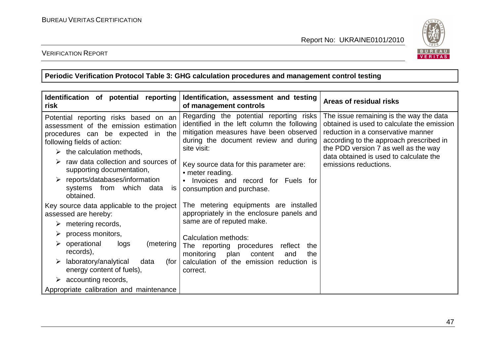

VERIFICATION REPORT

**Periodic Verification Protocol Table 3: GHG calculation procedures and management control testing** 

| Identification of potential reporting<br>risk                                                                                                                                                                                                                                                                                                                                   | Identification, assessment and testing<br>of management controls                                                                                                                                                                                                                                                                       | Areas of residual risks                                                                                                                                                                                                                                                           |
|---------------------------------------------------------------------------------------------------------------------------------------------------------------------------------------------------------------------------------------------------------------------------------------------------------------------------------------------------------------------------------|----------------------------------------------------------------------------------------------------------------------------------------------------------------------------------------------------------------------------------------------------------------------------------------------------------------------------------------|-----------------------------------------------------------------------------------------------------------------------------------------------------------------------------------------------------------------------------------------------------------------------------------|
| Potential reporting risks based on an<br>assessment of the emission estimation<br>procedures can be expected in the<br>following fields of action:<br>$\triangleright$ the calculation methods,<br>raw data collection and sources of<br>supporting documentation,<br>$\triangleright$ reports/databases/information<br>systems from<br>which<br>data<br><b>IS</b><br>obtained. | Regarding the potential reporting risks<br>identified in the left column the following<br>mitigation measures have been observed<br>during the document review and during<br>site visit:<br>Key source data for this parameter are:<br>• meter reading.<br>Invoices and record for Fuels for<br>$\bullet$<br>consumption and purchase. | The issue remaining is the way the data<br>obtained is used to calculate the emission<br>reduction in a conservative manner<br>according to the approach prescribed in<br>the PDD version 7 as well as the way<br>data obtained is used to calculate the<br>emissions reductions. |
| Key source data applicable to the project<br>assessed are hereby:<br>metering records,<br>➤<br>process monitors,<br>➤                                                                                                                                                                                                                                                           | The metering equipments are installed<br>appropriately in the enclosure panels and<br>same are of reputed make.<br>Calculation methods:                                                                                                                                                                                                |                                                                                                                                                                                                                                                                                   |
| $\triangleright$ operational<br>logs<br>(metering)<br>records),<br>laboratory/analytical<br>data<br>(for<br>➤<br>energy content of fuels),                                                                                                                                                                                                                                      | The reporting procedures<br>reflect<br>the<br>monitoring plan<br>content<br>the<br>and<br>calculation of the emission reduction is<br>correct.                                                                                                                                                                                         |                                                                                                                                                                                                                                                                                   |
| $\triangleright$ accounting records,<br>Appropriate calibration and maintenance                                                                                                                                                                                                                                                                                                 |                                                                                                                                                                                                                                                                                                                                        |                                                                                                                                                                                                                                                                                   |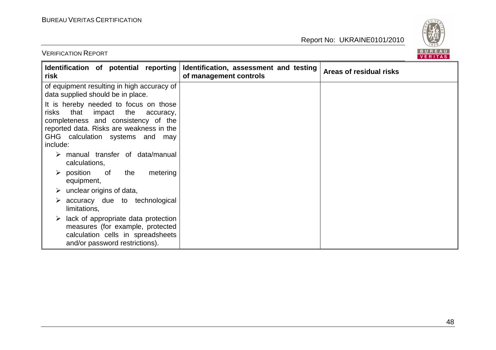VERIFICATION REPORT

Report No: UKRAINE0101/2010



| Identification of potential reporting<br>risk                                                                                                                                                                             | Identification, assessment and testing<br>of management controls | Areas of residual risks |
|---------------------------------------------------------------------------------------------------------------------------------------------------------------------------------------------------------------------------|------------------------------------------------------------------|-------------------------|
| of equipment resulting in high accuracy of<br>data supplied should be in place.                                                                                                                                           |                                                                  |                         |
| It is hereby needed to focus on those<br>that<br>impact<br>risks<br>the<br>accuracy,<br>completeness and consistency of the<br>reported data. Risks are weakness in the<br>GHG calculation systems and<br>may<br>include: |                                                                  |                         |
| $\triangleright$ manual transfer of data/manual<br>calculations,                                                                                                                                                          |                                                                  |                         |
| $\triangleright$ position<br>the<br>metering<br>of<br>equipment,                                                                                                                                                          |                                                                  |                         |
| $\triangleright$ unclear origins of data,                                                                                                                                                                                 |                                                                  |                         |
| accuracy due to technological<br>limitations,                                                                                                                                                                             |                                                                  |                         |
| lack of appropriate data protection<br>➤<br>measures (for example, protected<br>calculation cells in spreadsheets<br>and/or password restrictions).                                                                       |                                                                  |                         |

48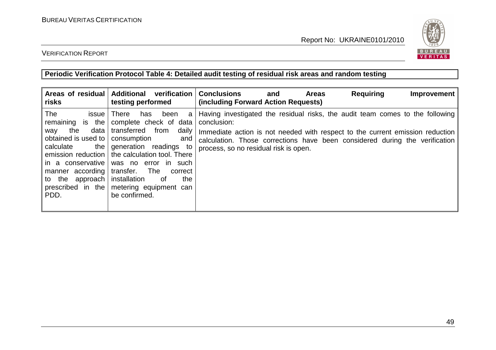

#### VERIFICATION REPORT

**Periodic Verification Protocol Table 4: Detailed audit testing of residual risk areas and random testing** 

| Areas of residual<br>risks                                                                                                                                                                                         | <b>Additional</b><br>verification<br>testing performed                                                                                                                                                                                                                                                   | <b>Conclusions</b><br><b>Requiring</b><br><b>Areas</b><br>Improvement<br>and<br>(including Forward Action Requests)                                                                                                                                                                                   |
|--------------------------------------------------------------------------------------------------------------------------------------------------------------------------------------------------------------------|----------------------------------------------------------------------------------------------------------------------------------------------------------------------------------------------------------------------------------------------------------------------------------------------------------|-------------------------------------------------------------------------------------------------------------------------------------------------------------------------------------------------------------------------------------------------------------------------------------------------------|
| The<br>issue<br>remaining is the<br>data<br>the<br>way<br>obtained is used to<br>calculate<br>the  <br>emission reduction<br>in a conservative<br>manner according<br>to the approach<br>prescribed in the<br>PDD. | <b>There</b><br>been<br>has<br>a<br>complete check of data<br>transferred<br>from<br>daily<br>consumption<br>and<br>generation readings to<br>the calculation tool. There<br>was no error in such<br>transfer.<br>The<br>correct<br>installation<br>the<br>of<br>metering equipment can<br>be confirmed. | Having investigated the residual risks, the audit team comes to the following<br>conclusion:<br>Immediate action is not needed with respect to the current emission reduction<br>calculation. Those corrections have been considered during the verification<br>process, so no residual risk is open. |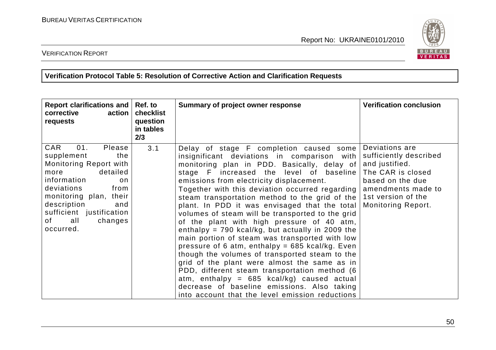

VERIFICATION REPORT

**Verification Protocol Table 5: Resolution of Corrective Action and Clarification Requests** 

| <b>Report clarifications and</b><br>corrective<br>action<br>requests                                                                                                                                                                                | Ref. to<br>checklist<br>question<br>in tables<br>2/3 | Summary of project owner response                                                                                                                                                                                                                                                                                                                                                                                                                                                                                                                                                                                                                                                                                                                                                                                                                                                                                                                      | <b>Verification conclusion</b>                                                                                                                                               |
|-----------------------------------------------------------------------------------------------------------------------------------------------------------------------------------------------------------------------------------------------------|------------------------------------------------------|--------------------------------------------------------------------------------------------------------------------------------------------------------------------------------------------------------------------------------------------------------------------------------------------------------------------------------------------------------------------------------------------------------------------------------------------------------------------------------------------------------------------------------------------------------------------------------------------------------------------------------------------------------------------------------------------------------------------------------------------------------------------------------------------------------------------------------------------------------------------------------------------------------------------------------------------------------|------------------------------------------------------------------------------------------------------------------------------------------------------------------------------|
| CAR<br>01.<br>Please<br>supplement<br>the<br>Monitoring Report with<br>detailed<br>more<br>information<br>on<br>deviations<br>from<br>monitoring plan, their<br>description<br>and<br>sufficient justification<br>of<br>all<br>changes<br>occurred. | 3.1                                                  | Delay of stage F completion caused some<br>insignificant deviations in comparison with<br>monitoring plan in PDD. Basically, delay of<br>stage F increased the level of baseline<br>emissions from electricity displacement.<br>Together with this deviation occurred regarding<br>steam transportation method to the grid of the<br>plant. In PDD it was envisaged that the total<br>volumes of steam will be transported to the grid<br>of the plant with high pressure of 40 atm,<br>enthalpy = $790$ kcal/kg, but actually in 2009 the<br>main portion of steam was transported with low<br>pressure of 6 atm, enthalpy = $685$ kcal/kg. Even<br>though the volumes of transported steam to the<br>grid of the plant were almost the same as in<br>PDD, different steam transportation method (6<br>atm, enthalpy = $685$ kcal/kg) caused actual<br>decrease of baseline emissions. Also taking<br>into account that the level emission reductions | Deviations are<br>sufficiently described<br>and justified.<br>The CAR is closed<br>based on the due<br>amendments made to<br>1st version of the<br><b>Monitoring Report.</b> |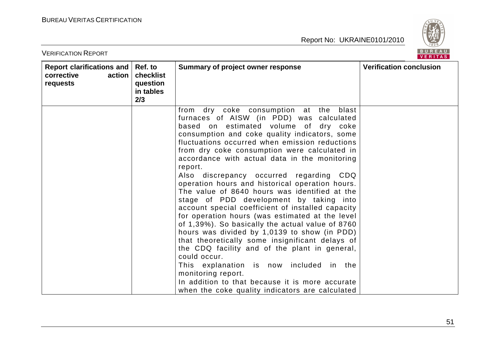

| <b>VERIFICATION REPORT</b>                                    |                                                      |                                                                                                                                                                                                                                                                                                                                                                                                                                                                                                                                                                                                                                                                                                                                                                                                                                                                                                                                                                                                | BUREAU<br><b>VERITAS</b>       |
|---------------------------------------------------------------|------------------------------------------------------|------------------------------------------------------------------------------------------------------------------------------------------------------------------------------------------------------------------------------------------------------------------------------------------------------------------------------------------------------------------------------------------------------------------------------------------------------------------------------------------------------------------------------------------------------------------------------------------------------------------------------------------------------------------------------------------------------------------------------------------------------------------------------------------------------------------------------------------------------------------------------------------------------------------------------------------------------------------------------------------------|--------------------------------|
| Report clarifications and<br>corrective<br>action<br>requests | Ref. to<br>checklist<br>question<br>in tables<br>2/3 | Summary of project owner response                                                                                                                                                                                                                                                                                                                                                                                                                                                                                                                                                                                                                                                                                                                                                                                                                                                                                                                                                              | <b>Verification conclusion</b> |
|                                                               |                                                      | dry coke consumption at the<br>blast<br>from<br>furnaces of AISW (in PDD) was calculated<br>based on estimated volume of dry coke<br>consumption and coke quality indicators, some<br>fluctuations occurred when emission reductions<br>from dry coke consumption were calculated in<br>accordance with actual data in the monitoring<br>report.<br>Also discrepancy occurred regarding CDQ<br>operation hours and historical operation hours.<br>The value of 8640 hours was identified at the<br>stage of PDD development by taking into<br>account special coefficient of installed capacity<br>for operation hours (was estimated at the level<br>of 1,39%). So basically the actual value of 8760<br>hours was divided by 1,0139 to show (in PDD)<br>that theoretically some insignificant delays of<br>the CDQ facility and of the plant in general,<br>could occur.<br>This explanation is now included in the<br>monitoring report.<br>In addition to that because it is more accurate |                                |
|                                                               |                                                      | when the coke quality indicators are calculated                                                                                                                                                                                                                                                                                                                                                                                                                                                                                                                                                                                                                                                                                                                                                                                                                                                                                                                                                |                                |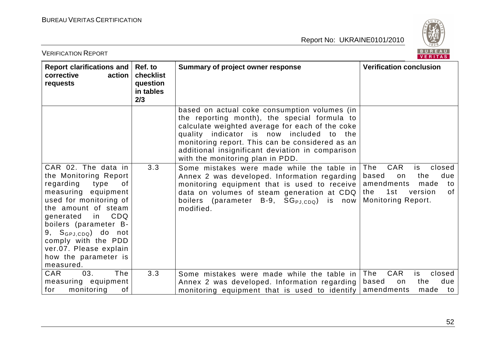

| <b>VERIFICATION REPORT</b>                                                                                                                                                                                                                                                                                                     |                                                      |                                                                                                                                                                                                                                                                                                                                           | BUREAU<br><b>VERITAS</b>                                                                                                                               |
|--------------------------------------------------------------------------------------------------------------------------------------------------------------------------------------------------------------------------------------------------------------------------------------------------------------------------------|------------------------------------------------------|-------------------------------------------------------------------------------------------------------------------------------------------------------------------------------------------------------------------------------------------------------------------------------------------------------------------------------------------|--------------------------------------------------------------------------------------------------------------------------------------------------------|
| Report clarifications and<br>corrective<br>action<br>requests                                                                                                                                                                                                                                                                  | Ref. to<br>checklist<br>question<br>in tables<br>2/3 | Summary of project owner response                                                                                                                                                                                                                                                                                                         | <b>Verification conclusion</b>                                                                                                                         |
|                                                                                                                                                                                                                                                                                                                                |                                                      | based on actual coke consumption volumes (in<br>the reporting month), the special formula to<br>calculate weighted average for each of the coke<br>quality indicator is now included to<br>the<br>monitoring report. This can be considered as an<br>additional insignificant deviation in comparison<br>with the monitoring plan in PDD. |                                                                                                                                                        |
| CAR 02. The data in<br>the Monitoring Report<br>regarding<br>type<br>0f<br>measuring equipment<br>used for monitoring of<br>the amount of steam<br>CDQ<br>generated<br>in l<br>boilers (parameter B-<br>9, S <sub>GPJ,CDQ</sub> ) do not<br>comply with the PDD<br>ver.07. Please explain<br>how the parameter is<br>measured. | 3.3                                                  | Some mistakes were made while the table in<br>Annex 2 was developed. Information regarding<br>monitoring equipment that is used to receive<br>data on volumes of steam generation at CDQ<br>boilers (parameter B-9, SG <sub>PJ.CDQ</sub> )<br>is now<br>modified.                                                                         | <b>CAR</b><br>The<br>is<br>closed<br>due<br>based<br>the<br>on<br>amendments<br>made<br>to<br>1st<br>of<br>version<br>the<br><b>Monitoring Report.</b> |
| <b>CAR</b><br>03.<br>The<br>measuring equipment                                                                                                                                                                                                                                                                                | 3.3                                                  | Some mistakes were made while the table in<br>Annex 2 was developed. Information regarding                                                                                                                                                                                                                                                | CAR<br>The<br>closed<br>is<br>due<br>based<br>the<br>on                                                                                                |
| for<br>monitoring<br>οf                                                                                                                                                                                                                                                                                                        |                                                      | monitoring equipment that is used to identify                                                                                                                                                                                                                                                                                             | amendments<br>made<br>to                                                                                                                               |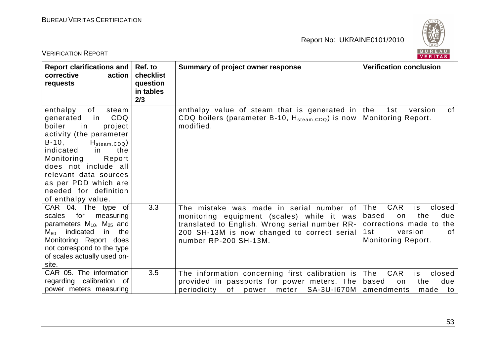

| <b>VERIFICATION REPORT</b>                                                                                                                                                                                                                                                                                             |                                                      |                                                                                                                                                                                                                  | BUREAU<br>VERITAS                                                                                                                              |
|------------------------------------------------------------------------------------------------------------------------------------------------------------------------------------------------------------------------------------------------------------------------------------------------------------------------|------------------------------------------------------|------------------------------------------------------------------------------------------------------------------------------------------------------------------------------------------------------------------|------------------------------------------------------------------------------------------------------------------------------------------------|
| <b>Report clarifications and</b><br>corrective<br>action<br>requests                                                                                                                                                                                                                                                   | Ref. to<br>checklist<br>question<br>in tables<br>2/3 | <b>Summary of project owner response</b>                                                                                                                                                                         | <b>Verification conclusion</b>                                                                                                                 |
| of<br>enthalpy<br>steam<br>CDQ<br>generated<br>in<br>boiler<br>in<br>project<br>activity (the parameter<br>$B-10,$<br>$H_{\text{steam,CDQ}}$<br>indicated<br>the<br>in<br>Monitoring<br>Report<br>does not include all<br>relevant data sources<br>as per PDD which are<br>needed for definition<br>of enthalpy value. |                                                      | enthalpy value of steam that is generated in the<br>CDQ boilers (parameter B-10, $H_{\text{steam,CDQ}}$ ) is now<br>modified.                                                                                    | 1st<br>0f<br>version<br><b>Monitoring Report.</b>                                                                                              |
| CAR 04. The type of<br>for<br>scales<br>measuring<br>parameters $M_{10}$ , $M_{25}$ and<br>indicated<br>in<br>$M_{80}$<br>the<br>Monitoring Report does<br>not correspond to the type<br>of scales actually used on-<br>site.                                                                                          | 3.3                                                  | The mistake was made in serial number of<br>monitoring equipment (scales) while it was<br>translated to English. Wrong serial number RR-<br>200 SH-13M is now changed to correct serial<br>number RP-200 SH-13M. | <b>CAR</b><br>The<br>is<br>closed<br>due<br>based<br>the<br>on<br>corrections made to the<br>1st<br>version<br>of<br><b>Monitoring Report.</b> |
| CAR 05. The information<br>regarding calibration of<br>power meters measuring                                                                                                                                                                                                                                          | 3.5                                                  | The information concerning first calibration is<br>provided in passports for power meters. The<br>of<br>SA-3U-1670M<br>periodicity<br>meter<br>power                                                             | CAR<br>closed<br>The<br>is<br>due<br>based<br>on<br>the<br>amendments<br>made<br>to                                                            |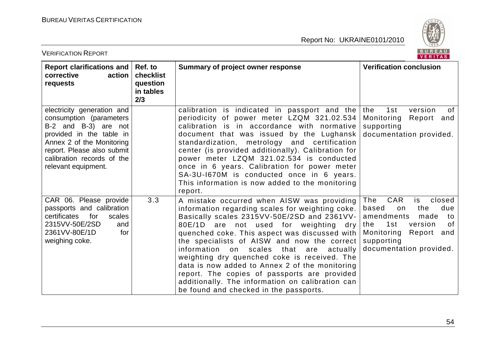

| <b>VERIFICATION REPORT</b>                                                                                                                                                                                                | BUREAU<br><b>VERITAS</b>                  |                                                                                                                                                                                                                                                                                                                                                                                                                                                                                                                                                                                         |                                                                                                                                                                                                   |
|---------------------------------------------------------------------------------------------------------------------------------------------------------------------------------------------------------------------------|-------------------------------------------|-----------------------------------------------------------------------------------------------------------------------------------------------------------------------------------------------------------------------------------------------------------------------------------------------------------------------------------------------------------------------------------------------------------------------------------------------------------------------------------------------------------------------------------------------------------------------------------------|---------------------------------------------------------------------------------------------------------------------------------------------------------------------------------------------------|
| Report clarifications and   Ref. to<br>corrective<br>action<br>requests                                                                                                                                                   | checklist<br>question<br>in tables<br>2/3 | Summary of project owner response                                                                                                                                                                                                                                                                                                                                                                                                                                                                                                                                                       | <b>Verification conclusion</b>                                                                                                                                                                    |
| electricity generation and<br>consumption (parameters<br>B-2 and B-3) are not<br>provided in the table in<br>Annex 2 of the Monitoring<br>report. Please also submit<br>calibration records of the<br>relevant equipment. |                                           | calibration is indicated in passport and the<br>periodicity of power meter LZQM 321.02.534<br>calibration is in accordance with normative<br>document that was issued by the Lughansk<br>standardization, metrology and certification<br>center (is provided additionally). Calibration for<br>power meter LZQM 321.02.534 is conducted<br>once in 6 years. Calibration for power meter<br>SA-3U-1670M is conducted once in 6 years.<br>This information is now added to the monitoring<br>report.                                                                                      | 1st<br><b>of</b><br>the<br>version<br>Monitoring<br>Report and<br>supporting<br>documentation provided.                                                                                           |
| CAR 06. Please provide<br>passports and calibration<br>for<br>certificates<br>scales<br>2315VV-50E/2SD<br>and<br>2361VV-80E/1D<br>for<br>weighing coke.                                                                   | 3.3                                       | A mistake occurred when AISW was providing<br>information regarding scales for weighting coke.<br>Basically scales 2315VV-50E/2SD and 2361VV-<br>80E/1D are not used for weighting dry<br>quenched coke. This aspect was discussed with<br>the specialists of AISW and now the correct<br>information on<br>scales that are<br>actually<br>weighting dry quenched coke is received. The<br>data is now added to Annex 2 of the monitoring<br>report. The copies of passports are provided<br>additionally. The information on calibration can<br>be found and checked in the passports. | <b>CAR</b><br>The<br>closed<br>is<br>due<br>based<br>the<br>on<br>amendments<br>made<br>to<br>1st<br>version<br>0f<br>the<br>Monitoring<br>Report<br>and<br>supporting<br>documentation provided. |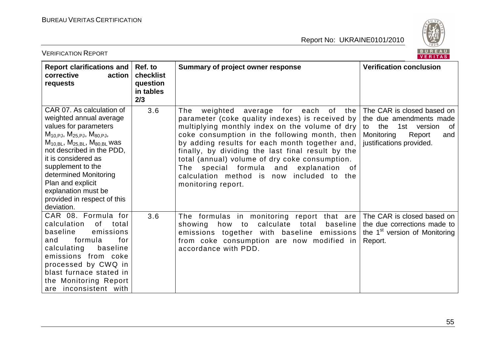

| <b>VERIFICATION REPORT</b>                                                                                                                                                                                                                                                                                                                                              |                                                      |                                                                                                                                                                                                                                                                                                                                                                                                                                                                                          | BUREAU<br>VERITAS                                                                                                                                     |
|-------------------------------------------------------------------------------------------------------------------------------------------------------------------------------------------------------------------------------------------------------------------------------------------------------------------------------------------------------------------------|------------------------------------------------------|------------------------------------------------------------------------------------------------------------------------------------------------------------------------------------------------------------------------------------------------------------------------------------------------------------------------------------------------------------------------------------------------------------------------------------------------------------------------------------------|-------------------------------------------------------------------------------------------------------------------------------------------------------|
| <b>Report clarifications and</b><br>corrective<br>action<br>requests                                                                                                                                                                                                                                                                                                    | Ref. to<br>checklist<br>question<br>in tables<br>2/3 | Summary of project owner response                                                                                                                                                                                                                                                                                                                                                                                                                                                        | <b>Verification conclusion</b>                                                                                                                        |
| CAR 07. As calculation of<br>weighted annual average<br>values for parameters<br>$M_{10,PJ}$ , $M_{25,PJ}$ , $M_{80,PJ}$ ,<br>$M_{10, BL}$ , $M_{25, BL}$ , $M_{80, BL}$ was<br>not described in the PDD,<br>it is considered as<br>supplement to the<br>determined Monitoring<br>Plan and explicit<br>explanation must be<br>provided in respect of this<br>deviation. | 3.6                                                  | of<br>weighted<br>average<br>for<br>each<br>the<br>The<br>parameter (coke quality indexes) is received by<br>multiplying monthly index on the volume of dry<br>coke consumption in the following month, then<br>by adding results for each month together and,<br>finally, by dividing the last final result by the<br>total (annual) volume of dry coke consumption.<br>The special formula and<br>explanation<br>0f<br>calculation method is now included to the<br>monitoring report. | The CAR is closed based on<br>the due amendments made<br>1st<br>of<br>the<br>version<br>to<br>Monitoring<br>Report<br>and<br>justifications provided. |
| CAR 08. Formula for<br>0f<br>calculation<br>total<br>baseline<br>emissions<br>for<br>formula<br>and<br>calculating<br>baseline<br>emissions from coke<br>processed by CWQ in<br>blast furnace stated in<br>the Monitoring Report<br>are inconsistent with                                                                                                               | 3.6                                                  | The formulas in monitoring report that are<br>calculate<br>total<br>baseline<br>showing<br>how<br>to<br>emissions together with baseline emissions<br>from coke consumption are now modified in<br>accordance with PDD.                                                                                                                                                                                                                                                                  | The CAR is closed based on<br>the due corrections made to<br>the 1 <sup>st</sup> version of Monitoring<br>Report.                                     |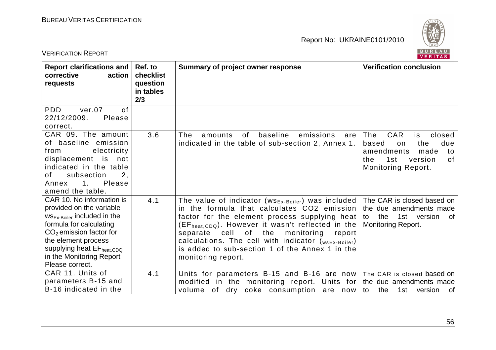

| BUREAU<br><b>VERIFICATION REPORT</b><br>VERITAS                                                                                                                                                                                                                         |                                                      |                                                                                                                                                                                                                                                                                                                                                                                                                             |                                                                                                                                                 |
|-------------------------------------------------------------------------------------------------------------------------------------------------------------------------------------------------------------------------------------------------------------------------|------------------------------------------------------|-----------------------------------------------------------------------------------------------------------------------------------------------------------------------------------------------------------------------------------------------------------------------------------------------------------------------------------------------------------------------------------------------------------------------------|-------------------------------------------------------------------------------------------------------------------------------------------------|
| <b>Report clarifications and</b><br>corrective<br>action<br>requests                                                                                                                                                                                                    | Ref. to<br>checklist<br>question<br>in tables<br>2/3 | Summary of project owner response                                                                                                                                                                                                                                                                                                                                                                                           | <b>Verification conclusion</b>                                                                                                                  |
| <b>PDD</b><br>ver.07<br>0f<br>22/12/2009.<br>Please<br>correct.                                                                                                                                                                                                         |                                                      |                                                                                                                                                                                                                                                                                                                                                                                                                             |                                                                                                                                                 |
| CAR 09. The amount<br>of baseline emission<br>electricity<br>from<br>displacement is<br>not<br>indicated in the table<br>subsection<br>2.<br>of<br>$\mathbf{1}$ .<br>Please<br>Annex<br>amend the table.                                                                | 3.6                                                  | baseline<br>The<br>0f<br>emissions<br>amounts<br>are<br>indicated in the table of sub-section 2, Annex 1.                                                                                                                                                                                                                                                                                                                   | CAR<br>closed<br>The<br>is<br>due<br>the<br>based<br>on<br>amendments<br>made<br>to<br>1st<br>version<br>of<br>the<br><b>Monitoring Report.</b> |
| CAR 10. No information is<br>provided on the variable<br>WS <sub>Ex-Boiler</sub> included in the<br>formula for calculating<br>$CO2$ emission factor for<br>the element process<br>supplying heat EF <sub>heat,CDQ</sub><br>in the Monitoring Report<br>Please correct. | 4.1                                                  | The value of indicator ( $\text{ws}_{\text{Ex-Boiler}}$ ) was included<br>in the formula that calculates CO2 emission<br>factor for the element process supplying heat<br>$(EFheat,CDQ)$ . However it wasn't reflected in the<br>of<br>cell<br>monitoring<br>separate<br>the<br>report<br>calculations. The cell with indicator $(w_{sEx-Boiler})$<br>is added to sub-section 1 of the Annex 1 in the<br>monitoring report. | The CAR is closed based on<br>the due amendments made<br>the<br>1st version<br>of<br>to<br><b>Monitoring Report.</b>                            |
| CAR 11. Units of<br>parameters B-15 and<br>B-16 indicated in the                                                                                                                                                                                                        | 4.1                                                  | Units for parameters B-15 and B-16 are now<br>modified in the monitoring report.<br>Units for<br>volume of dry coke consumption are now                                                                                                                                                                                                                                                                                     | The CAR is closed based on<br>the due amendments made<br>1st<br>the<br>version<br>0f<br>to                                                      |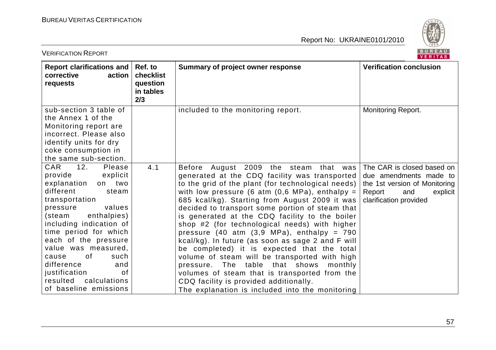

| <b>VERIFICATION REPORT</b>                                                                                                                                                                                                                                                                                                                                                                 | BUREAU<br>VERITAS                                    |                                                                                                                                                                                                                                                                                                                                                                                                                                                                                                                                                                                                                                                                                                                                                                                                                                                      |                                                                                                                                              |
|--------------------------------------------------------------------------------------------------------------------------------------------------------------------------------------------------------------------------------------------------------------------------------------------------------------------------------------------------------------------------------------------|------------------------------------------------------|------------------------------------------------------------------------------------------------------------------------------------------------------------------------------------------------------------------------------------------------------------------------------------------------------------------------------------------------------------------------------------------------------------------------------------------------------------------------------------------------------------------------------------------------------------------------------------------------------------------------------------------------------------------------------------------------------------------------------------------------------------------------------------------------------------------------------------------------------|----------------------------------------------------------------------------------------------------------------------------------------------|
| Report clarifications and<br>corrective<br>action<br>requests                                                                                                                                                                                                                                                                                                                              | Ref. to<br>checklist<br>question<br>in tables<br>2/3 | Summary of project owner response                                                                                                                                                                                                                                                                                                                                                                                                                                                                                                                                                                                                                                                                                                                                                                                                                    | <b>Verification conclusion</b>                                                                                                               |
| sub-section 3 table of<br>the Annex 1 of the<br>Monitoring report are<br>incorrect. Please also<br>identify units for dry<br>coke consumption in<br>the same sub-section.                                                                                                                                                                                                                  |                                                      | included to the monitoring report.                                                                                                                                                                                                                                                                                                                                                                                                                                                                                                                                                                                                                                                                                                                                                                                                                   | Monitoring Report.                                                                                                                           |
| CAR<br>12.<br><b>Please</b><br>provide<br>explicit<br>explanation<br>on two<br>different<br>steam<br>transportation<br>values<br>pressure<br>enthalpies)<br>(steam<br>including indication of<br>time period for which<br>each of the pressure<br>value was measured,<br>0f<br>such<br>cause<br>difference<br>and<br>justification<br>0f<br>resulted calculations<br>of baseline emissions | 4.1                                                  | Before August 2009 the steam<br>that was<br>generated at the CDQ facility was transported<br>to the grid of the plant (for technological needs)<br>with low pressure (6 atm $(0,6 \text{ MPa})$ , enthalpy =<br>685 kcal/kg). Starting from August 2009 it was<br>decided to transport some portion of steam that<br>is generated at the CDQ facility to the boiler<br>shop #2 (for technological needs) with higher<br>pressure $(40 \text{ atm } (3.9 \text{ MPa}), \text{ enthalpy } = 790$<br>kcal/kg). In future (as soon as sage 2 and F will<br>be completed) it is expected that the total<br>volume of steam will be transported with high<br>table that shows<br>The<br>pressure.<br>monthly<br>volumes of steam that is transported from the<br>CDQ facility is provided additionally.<br>The explanation is included into the monitoring | The CAR is closed based on<br>due amendments made to<br>the 1st version of Monitoring<br>Report<br>and<br>explicit<br>clarification provided |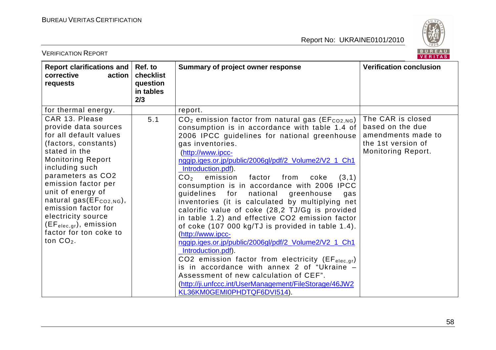

| <b>VERIFICATION REPORT</b>                                                                                                                                                                                                                                                                                                                                                           |                                                      |                                                                                                                                                                                                                                                                                                                                                                                                                                                                                                                                                                                                                                                                                                                                                                                                                                                                                                                                                                                                                  | BUREAU<br><b>VERITAS</b>                                                                                       |
|--------------------------------------------------------------------------------------------------------------------------------------------------------------------------------------------------------------------------------------------------------------------------------------------------------------------------------------------------------------------------------------|------------------------------------------------------|------------------------------------------------------------------------------------------------------------------------------------------------------------------------------------------------------------------------------------------------------------------------------------------------------------------------------------------------------------------------------------------------------------------------------------------------------------------------------------------------------------------------------------------------------------------------------------------------------------------------------------------------------------------------------------------------------------------------------------------------------------------------------------------------------------------------------------------------------------------------------------------------------------------------------------------------------------------------------------------------------------------|----------------------------------------------------------------------------------------------------------------|
| Report clarifications and<br>corrective<br>action<br>requests                                                                                                                                                                                                                                                                                                                        | Ref. to<br>checklist<br>question<br>in tables<br>2/3 | Summary of project owner response                                                                                                                                                                                                                                                                                                                                                                                                                                                                                                                                                                                                                                                                                                                                                                                                                                                                                                                                                                                | <b>Verification conclusion</b>                                                                                 |
| for thermal energy.                                                                                                                                                                                                                                                                                                                                                                  |                                                      | report.                                                                                                                                                                                                                                                                                                                                                                                                                                                                                                                                                                                                                                                                                                                                                                                                                                                                                                                                                                                                          |                                                                                                                |
| CAR 13. Please<br>provide data sources<br>for all default values<br>(factors, constants)<br>stated in the<br><b>Monitoring Report</b><br>including such<br>parameters as CO2<br>emission factor per<br>unit of energy of<br>natural gas(EF <sub>CO2,NG</sub> ),<br>emission factor for<br>electricity source<br>$(EF_{elec,qr})$ , emission<br>factor for ton coke to<br>ton $CO2$ . | 5.1                                                  | $CO2$ emission factor from natural gas (EF $_{CO2,NG}$ )<br>consumption is in accordance with table 1.4 of<br>2006 IPCC guidelines for national greenhouse<br>gas inventories.<br>(http://www.ipcc-<br>nggip.iges.or.jp/public/2006gl/pdf/2_Volume2/V2_1_Ch1<br>Introduction.pdf).<br>CO <sub>2</sub><br>emission factor from<br>(3,1)<br>coke<br>consumption is in accordance with 2006 IPCC<br>guidelines for national greenhouse<br>gas<br>inventories (it is calculated by multiplying net<br>calorific value of coke (28,2 TJ/Gg is provided<br>in table 1.2) and effective CO2 emission factor<br>of coke (107 000 kg/TJ is provided in table 1.4).<br>(http://www.ipcc-<br>nggip.iges.or.jp/public/2006gl/pdf/2_Volume2/V2_1_Ch1<br>Introduction.pdf).<br>CO2 emission factor from electricity (EF <sub>elec.gr</sub> )<br>is in accordance with annex 2 of "Ukraine -<br>Assessment of new calculation of CEF".<br>(http://ji.unfccc.int/UserManagement/FileStorage/46JW2<br>KL36KM0GEMI0PHDTQF6DVI514). | The CAR is closed<br>based on the due<br>amendments made to<br>the 1st version of<br><b>Monitoring Report.</b> |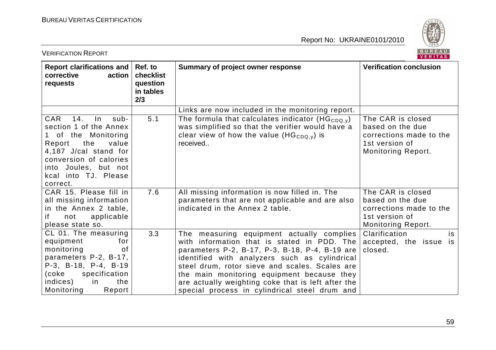

| <b>VERIFICATION REPORT</b>                                                                                                                                                                                                 |                                                      |                                                                                                                                                                                                                                                                                                                                                                                                    | BUREAU<br>VERITAS                                                                                               |  |
|----------------------------------------------------------------------------------------------------------------------------------------------------------------------------------------------------------------------------|------------------------------------------------------|----------------------------------------------------------------------------------------------------------------------------------------------------------------------------------------------------------------------------------------------------------------------------------------------------------------------------------------------------------------------------------------------------|-----------------------------------------------------------------------------------------------------------------|--|
| Report clarifications and<br>corrective<br>action<br>requests                                                                                                                                                              | Ref. to<br>checklist<br>question<br>in tables<br>2/3 | Summary of project owner response                                                                                                                                                                                                                                                                                                                                                                  | <b>Verification conclusion</b>                                                                                  |  |
|                                                                                                                                                                                                                            |                                                      | Links are now included in the monitoring report.                                                                                                                                                                                                                                                                                                                                                   |                                                                                                                 |  |
| <b>CAR</b><br>14.<br>$\ln$<br>sub-<br>section 1 of the Annex<br>of the Monitoring<br>the<br>Report<br>value<br>4,187 J/cal stand for<br>conversion of calories<br>into Joules, but not<br>kcal into TJ. Please<br>correct. | 5.1                                                  | The formula that calculates indicator (HG <sub>CDQ,v</sub> )<br>was simplified so that the verifier would have a<br>clear view of how the value (HG <sub>CDQ,y</sub> ) is<br>received                                                                                                                                                                                                              | The CAR is closed<br>based on the due<br>corrections made to the<br>1st version of<br><b>Monitoring Report.</b> |  |
| CAR 15. Please fill in<br>all missing information<br>in the Annex 2 table,<br>if<br>applicable<br>not<br>please state so.                                                                                                  | 7.6                                                  | All missing information is now filled in. The<br>parameters that are not applicable and are also<br>indicated in the Annex 2 table.                                                                                                                                                                                                                                                                | The CAR is closed<br>based on the due<br>corrections made to the<br>1st version of<br><b>Monitoring Report.</b> |  |
| CL 01. The measuring<br>equipment<br>for<br>monitoring<br>0f<br>parameters P-2, B-17,<br>P-3, B-18, P-4, B-19<br>specification<br>(coke<br>indices)<br>in<br>the<br>Monitoring<br>Report                                   | 3.3                                                  | The measuring equipment actually complies<br>with information that is stated in PDD. The<br>parameters P-2, B-17, P-3, B-18, P-4, B-19 are<br>identified with analyzers such as cylindrical<br>steel drum, rotor sieve and scales. Scales are<br>the main monitoring equipment because they<br>are actually weighting coke that is left after the<br>special process in cylindrical steel drum and | Clarification<br>is<br>accepted, the issue is<br>closed.                                                        |  |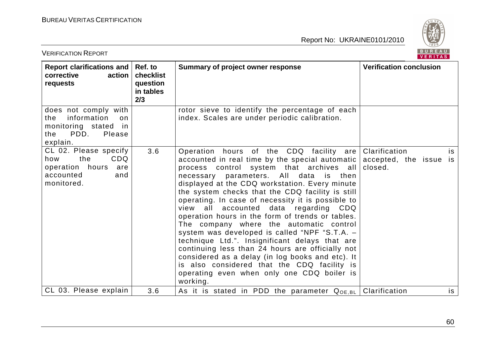

| <b>VERIFICATION REPORT</b>                                                                                     |                                                      |                                                                                                                                                                                                                                                                                                                                                                                                                                                                                                                                                                                                                                                                                                                                                                                                                              | <b>BUREAU</b><br><b>VERITAS</b>                          |
|----------------------------------------------------------------------------------------------------------------|------------------------------------------------------|------------------------------------------------------------------------------------------------------------------------------------------------------------------------------------------------------------------------------------------------------------------------------------------------------------------------------------------------------------------------------------------------------------------------------------------------------------------------------------------------------------------------------------------------------------------------------------------------------------------------------------------------------------------------------------------------------------------------------------------------------------------------------------------------------------------------------|----------------------------------------------------------|
| Report clarifications and<br>corrective<br>action<br>requests                                                  | Ref. to<br>checklist<br>question<br>in tables<br>2/3 | Summary of project owner response                                                                                                                                                                                                                                                                                                                                                                                                                                                                                                                                                                                                                                                                                                                                                                                            | <b>Verification conclusion</b>                           |
| does not comply with<br>information<br>the<br>on.<br>monitoring stated in<br>PDD.<br>Please<br>the<br>explain. |                                                      | rotor sieve to identify the percentage of each<br>index. Scales are under periodic calibration.                                                                                                                                                                                                                                                                                                                                                                                                                                                                                                                                                                                                                                                                                                                              |                                                          |
| CL 02. Please specify<br>the<br>CDQ<br>how<br>operation hours<br>are<br>accounted<br>and<br>monitored.         | 3.6                                                  | Operation hours of the CDQ facility are<br>accounted in real time by the special automatic<br>process control system that archives all<br>All data<br>necessary parameters.<br>is<br>then<br>displayed at the CDQ workstation. Every minute<br>the system checks that the CDQ facility is still<br>operating. In case of necessity it is possible to<br>all<br>accounted<br>data regarding<br>view<br>CDQ<br>operation hours in the form of trends or tables.<br>The company where the automatic control<br>system was developed is called "NPF "S.T.A. -<br>technique Ltd.". Insignificant delays that are<br>continuing less than 24 hours are officially not<br>considered as a delay (in log books and etc). It<br>is also considered that the CDQ facility is<br>operating even when only one CDQ boiler is<br>working. | Clarification<br>is<br>accepted, the issue is<br>closed. |
| CL 03. Please explain                                                                                          | 3.6                                                  | As it is stated in PDD the parameter $Q_{OE, BL}$                                                                                                                                                                                                                                                                                                                                                                                                                                                                                                                                                                                                                                                                                                                                                                            | Clarification<br>is                                      |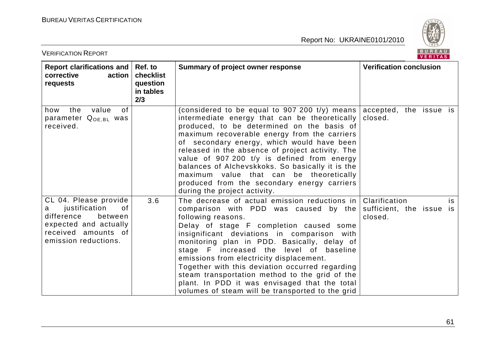

| <b>VERIFICATION REPORT</b>                                                                                                                         |                                                      |                                                                                                                                                                                                                                                                                                                                                                                                                                                                                                                                                        | BUREAU<br><b>VERITAS</b>                                   |
|----------------------------------------------------------------------------------------------------------------------------------------------------|------------------------------------------------------|--------------------------------------------------------------------------------------------------------------------------------------------------------------------------------------------------------------------------------------------------------------------------------------------------------------------------------------------------------------------------------------------------------------------------------------------------------------------------------------------------------------------------------------------------------|------------------------------------------------------------|
| Report clarifications and<br>action<br>corrective<br>requests                                                                                      | Ref. to<br>checklist<br>question<br>in tables<br>2/3 | Summary of project owner response                                                                                                                                                                                                                                                                                                                                                                                                                                                                                                                      | <b>Verification conclusion</b>                             |
| value<br>the<br>how<br>0f<br>parameter Q <sub>OE,BL</sub> was<br>received.                                                                         |                                                      | (considered to be equal to 907 200 $t/y$ ) means<br>intermediate energy that can be theoretically<br>produced, to be determined on the basis of<br>maximum recoverable energy from the carriers<br>of secondary energy, which would have been<br>released in the absence of project activity. The<br>value of 907 200 t/y is defined from energy<br>balances of Alchevskkoks. So basically it is the<br>maximum value that can be theoretically<br>produced from the secondary energy carriers<br>during the project activity.                         | accepted, the issue is<br>closed.                          |
| CL 04. Please provide<br>justification<br>0f<br>a<br>difference<br>between<br>expected and actually<br>received amounts of<br>emission reductions. | 3.6                                                  | The decrease of actual emission reductions in<br>comparison with PDD was caused by the<br>following reasons.<br>Delay of stage F completion caused some<br>insignificant deviations in comparison with<br>monitoring plan in PDD. Basically, delay of<br>stage F increased the level of baseline<br>emissions from electricity displacement.<br>Together with this deviation occurred regarding<br>steam transportation method to the grid of the<br>plant. In PDD it was envisaged that the total<br>volumes of steam will be transported to the grid | Clarification<br>is<br>sufficient, the issue is<br>closed. |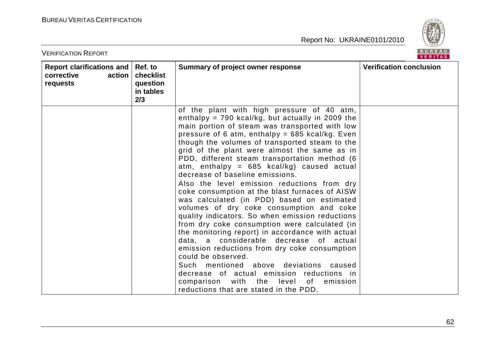

| <b>VERIFICATION REPORT</b>                                    |                                                      |                                                                                                                                                                                                                                                                                                                                                                                                                                                                                                                                                                                                                                                                                                                                                                                                                                                                                                                                                                                                                                                                                                                     | BUREAU<br><b>VERITAS</b>       |
|---------------------------------------------------------------|------------------------------------------------------|---------------------------------------------------------------------------------------------------------------------------------------------------------------------------------------------------------------------------------------------------------------------------------------------------------------------------------------------------------------------------------------------------------------------------------------------------------------------------------------------------------------------------------------------------------------------------------------------------------------------------------------------------------------------------------------------------------------------------------------------------------------------------------------------------------------------------------------------------------------------------------------------------------------------------------------------------------------------------------------------------------------------------------------------------------------------------------------------------------------------|--------------------------------|
| Report clarifications and<br>corrective<br>action<br>requests | Ref. to<br>checklist<br>question<br>in tables<br>2/3 | Summary of project owner response                                                                                                                                                                                                                                                                                                                                                                                                                                                                                                                                                                                                                                                                                                                                                                                                                                                                                                                                                                                                                                                                                   | <b>Verification conclusion</b> |
|                                                               |                                                      | of the plant with high pressure of 40 atm,<br>enthalpy = $790$ kcal/kg, but actually in 2009 the<br>main portion of steam was transported with low<br>pressure of 6 atm, enthalpy = $685$ kcal/kg. Even<br>though the volumes of transported steam to the<br>grid of the plant were almost the same as in<br>PDD, different steam transportation method (6<br>atm, enthalpy = $685$ kcal/kg) caused actual<br>decrease of baseline emissions.<br>Also the level emission reductions from dry<br>coke consumption at the blast furnaces of AISW<br>was calculated (in PDD) based on estimated<br>volumes of dry coke consumption and coke<br>quality indicators. So when emission reductions<br>from dry coke consumption were calculated (in<br>the monitoring report) in accordance with actual<br>data, a considerable decrease<br>of _<br>actual<br>emission reductions from dry coke consumption<br>could be observed.<br>Such mentioned above deviations<br>caused<br>decrease of actual emission reductions in<br>with the<br>comparison<br>level<br>of<br>emission<br>reductions that are stated in the PDD. |                                |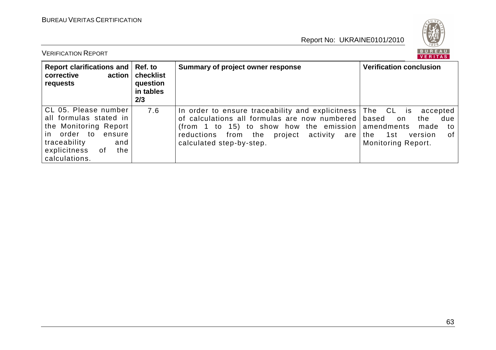

| <b>VERIFICATION REPORT</b>                                                                                                                                                  |                                                      |                                                                                                                                                                                                                                 | <b>BUREAU</b><br><b>VERITAS</b>                                                                                                            |
|-----------------------------------------------------------------------------------------------------------------------------------------------------------------------------|------------------------------------------------------|---------------------------------------------------------------------------------------------------------------------------------------------------------------------------------------------------------------------------------|--------------------------------------------------------------------------------------------------------------------------------------------|
| Report clarifications and<br>corrective<br>action<br>requests                                                                                                               | Ref. to<br>checklist<br>question<br>in tables<br>2/3 | Summary of project owner response                                                                                                                                                                                               | <b>Verification conclusion</b>                                                                                                             |
| CL 05. Please number<br>all formulas stated in<br>the Monitoring Report<br>order to<br>ensure<br>in.<br>traceability<br>and<br>explicitness<br>the<br>. of<br>calculations. | 7.6                                                  | In order to ensure traceability and explicitness  <br>of calculations all formulas are now numbered<br>(from 1 to 15) to show how the emission<br>from the<br>reductions<br>project<br>activity are<br>calculated step-by-step. | The CL is<br>accepted<br>based<br>due<br>the<br>on<br>amendments<br>made<br>to<br>οf<br>1st<br>the<br>version<br><b>Monitoring Report.</b> |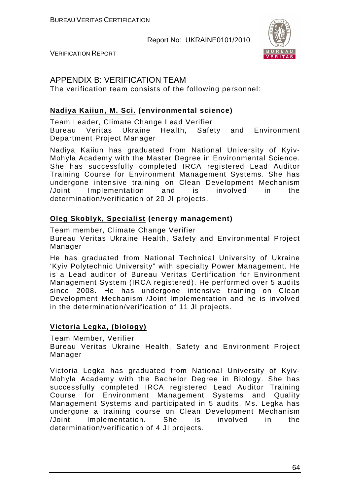

VERIFICATION REPORT

# APPENDIX B: VERIFICATION TEAM

The verification team consists of the following personnel:

#### **Nadiya Kaiiun, M. Sci. (environmental science)**

Team Leader, Climate Change Lead Verifier Bureau Veritas Ukraine Health, Safety and Environment Department Project Manager

Nadiya Kaiiun has graduated from National University of Kyiv-Mohyla Academy with the Master Degree in Environmental Science. She has successfully completed IRCA registered Lead Auditor Training Course for Environment Management Systems. She has undergone intensive training on Clean Development Mechanism /Joint Implementation and is involved in the determination/verification of 20 JI projects.

#### **Oleg Skoblyk, Specialist (energy management)**

Team member, Climate Change Verifier

Bureau Veritas Ukraine Health, Safety and Environmental Project Manager

He has graduated from National Technical University of Ukraine 'Kyiv Polytechnic University" with specialty Power Management. He is a Lead auditor of Bureau Veritas Certification for Environment Management System (IRCA registered). He performed over 5 audits since 2008. He has undergone intensive training on Clean Development Mechanism /Joint Implementation and he is involved in the determination/verification of 11 JI projects.

#### **Victoria Legka, (biology)**

Team Member, Verifier

Bureau Veritas Ukraine Health, Safety and Environment Project Manager

Victoria Legka has graduated from National University of Kyiv-Mohyla Academy with the Bachelor Degree in Biology. She has successfully completed IRCA registered Lead Auditor Training Course for Environment Management Systems and Quality Management Systems and participated in 5 audits. Ms. Legka has undergone a training course on Clean Development Mechanism /Joint Implementation. She is involved in the determination/verification of 4 JI projects.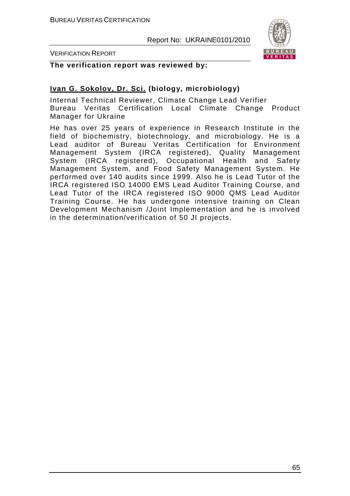

VERIFICATION REPORT

**The verification report was reviewed by:** 

### **Ivan G. Sokolov, Dr. Sci. (biology, microbiology)**

Internal Technical Reviewer, Climate Change Lead Verifier Bureau Veritas Certification Local Climate Change Product Manager for Ukraine

He has over 25 years of experience in Research Institute in the field of biochemistry, biotechnology, and microbiology. He is a Lead auditor of Bureau Veritas Certification for Environment Management System (IRCA registered), Quality Management System (IRCA registered), Occupational Health and Safety Management System, and Food Safety Management System. He performed over 140 audits since 1999. Also he is Lead Tutor of the IRCA registered ISO 14000 EMS Lead Auditor Training Course, and Lead Tutor of the IRCA registered ISO 9000 QMS Lead Auditor Training Course. He has undergone intensive training on Clean Development Mechanism /Joint Implementation and he is involved in the determination/verification of 50 JI projects.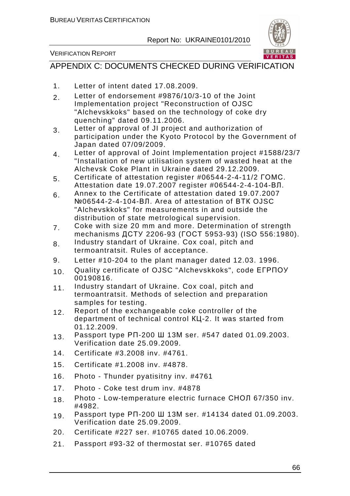

#### VERIFICATION REPORT

# APPENDIX C: DOCUMENTS CHECKED DURING VERIFICATION

- 1. Letter of intent dated 17.08.2009.
- 2. Letter of endorsement #9876/10/3-10 of the Joint Implementation project "Reconstruction of OJSC "Alchevskkoks" based on the technology of coke dry quenching" dated 09.11.2006.
- 3. Letter of approval of JI project and authorization of participation under the Kyoto Protocol by the Government of Japan dated 07/09/2009.
- 4. Letter of approval of Joint Implementation project #1588/23/7 "Installation of new utilisation system of wasted heat at the Alchevsk Coke Plant in Ukraine dated 29.12.2009.
- 5. Certificate of attestation register #06544-2-4-11/2 ГОМС. Attestation date 19.07.2007 register #06544-2-4-104-ВЛ.
- 6. Annex to the Certificate of attestation dated 19.07.2007 №06544-2-4-104-ВЛ. Area of attestation of ВТК OJSC "Alchevskkoks" for measurements in and outside the distribution of state metrological supervision.
- 7. Coke with size 20 mm and more. Determination of strength mechanisms ДСТУ 2206-93 (ГОСТ 5953-93) (ISO 556:1980).
- 8. Industry standart of Ukraine. Cox coal, pitch and termoantratsit. Rules of acceptance.
- 9. Letter #10-204 to the plant manager dated 12.03. 1996.
- 10. Quality certificate of OJSC "Alchevskkoks", code ЕГРПОУ 00190816.
- 11. Industry standart of Ukraine. Cox coal, pitch and termoantratsit. Methods of selection and preparation samples for testing.
- 12. Report of the exchangeable coke controller of the department of technical control КЦ-2. It was started from 01.12.2009.
- 13. Passport type РП-200 Ш 13М ser. #547 dated 01.09.2003. Verification date 25.09.2009.
- 14. Certificate #3.2008 inv. #4761.
- 15. Certificate #1.2008 inv. #4878.
- 16. Photo Thunder pyatisitny inv. #4761
- 17. Photo Coke test drum inv. #4878
- 18. Photo Low-temperature electric furnace СНОЛ 67/350 inv. #4982.
- 19. Passport type РП-200 Ш 13М ser. #14134 dated 01.09.2003. Verification date 25.09.2009.
- 20. Certificate #227 ser. #10765 dated 10.06.2009.
- 21. Passport #93-32 of thermostat ser. #10765 dated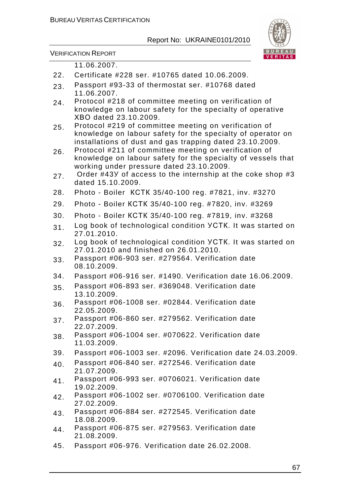

VERIFICATION REPORT

11.06.2007.

- 22. Certificate #228 ser. #10765 dated 10.06.2009.
- 23. Passport #93-33 of thermostat ser. #10768 dated 11.06.2007.
- 24. Protocol #218 of committee meeting on verification of knowledge on labour safety for the specialty of operative ХВО dated 23.10.2009.
- 25. Protocol #219 of committee meeting on verification of knowledge on labour safety for the specialty of operator on installations of dust and gas trapping dated 23.10.2009.
- 26. Protocol #211 of committee meeting on verification of knowledge on labour safety for the specialty of vessels that working under pressure dated 23.10.2009.
- 27. Order #43Y of access to the internship at the coke shop #3 dated 15.10.2009.
- 28. Photo Boiler КСТК 35/40-100 reg. #7821, inv. #3270
- 29. Photo Boiler КСТК 35/40-100 reg. #7820, inv. #3269
- 30. Photo Boiler КСТК 35/40-100 reg. #7819, inv. #3268
- 31. Log book of technological condition YCTK. It was started on 27.01.2010.
- 32. Log book of technological condition УСТК. It was started on 27.01.2010 and finished on 26.01.2010.
- 33. Passport #06-903 ser. #279564. Verification date 08.10.2009.
- 34. Passport #06-916 ser. #1490. Verification date 16.06.2009.
- 35. Passport #06-893 ser. #369048. Verification date 13.10.2009.
- 36. Passport #06-1008 ser. #02844. Verification date 22.05.2009.
- 37. Passport #06-860 ser. #279562. Verification date 22.07.2009.
- 38. Passport #06-1004 ser. #070622. Verification date 11.03.2009.
- 39. Passport #06-1003 ser. #2096. Verification date 24.03.2009.
- 40. Passport #06-840 ser. #272546. Verification date 21.07.2009.
- 41. Passport #06-993 ser. #0706021. Verification date 19.02.2009.
- 42. Passport #06-1002 ser. #0706100. Verification date 27.02.2009.
- 43. Passport #06-884 ser. #272545. Verification date 18.08.2009.
- 44. Passport #06-875 ser. #279563. Verification date 21.08.2009.
- 45. Passport #06-976. Verification date 26.02.2008.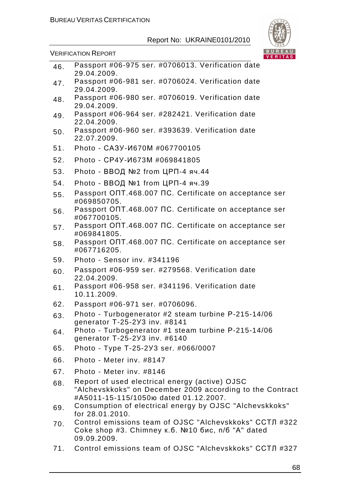

VERIFICATION REPORT

| 46. | Passport #06-975 ser. #0706013. Verification date<br>29.04.2009.                                                                                    |
|-----|-----------------------------------------------------------------------------------------------------------------------------------------------------|
| 47. | Passport #06-981 ser. #0706024. Verification date<br>29.04.2009.                                                                                    |
| 48. | Passport #06-980 ser. #0706019. Verification date<br>29.04.2009.                                                                                    |
| 49. | Passport #06-964 ser. #282421. Verification date<br>22.04.2009.                                                                                     |
| 50. | Passport #06-960 ser. #393639. Verification date<br>22.07.2009.                                                                                     |
| 51. | Photo - CA3Y-И670M #067700105                                                                                                                       |
| 52. | Photo - CP4Y-И673М #069841805                                                                                                                       |
| 53. | Photo - ВВОД №2 from ЦРП-4 яч.44                                                                                                                    |
| 54. | Photo - ВВОД №1 from ЦРП-4 яч.39                                                                                                                    |
| 55. | Passport ONT.468.007 NC. Certificate on acceptance ser<br>#069850705.                                                                               |
| 56. | Passport ONT.468.007 NC. Certificate on acceptance ser<br>#067700105.                                                                               |
| 57. | Passport ONT.468.007 NC. Certificate on acceptance ser<br>#069841805.                                                                               |
| 58. | Passport ONT.468.007 NC. Certificate on acceptance ser<br>#067716205.                                                                               |
| 59. | Photo - Sensor inv. #341196                                                                                                                         |
| 60. | Passport #06-959 ser. #279568. Verification date<br>22.04.2009.                                                                                     |
| 61. | Passport #06-958 ser. #341196. Verification date<br>10.11.2009.                                                                                     |
| 62. | Passport #06-971 ser. #0706096.                                                                                                                     |
| 63. | Photo - Turbogenerator #2 steam turbine P-215-14/06<br>generator T-25-2Y3 inv. #8141                                                                |
| 64. | Photo - Turbogenerator #1 steam turbine P-215-14/06<br>generator T-25-2Y3 inv. #6140                                                                |
| 65. | Photo - Type T-25-2Y3 ser. #066/0007                                                                                                                |
| 66. | Photo - Meter inv. #8147                                                                                                                            |
| 67. | Photo - Meter inv. #8146                                                                                                                            |
| 68. | Report of used electrical energy (active) OJSC<br>"Alchevskkoks" on December 2009 according to the Contract<br>#A5011-15-115/1050 tated 01.12.2007. |
| 69. | Consumption of electrical energy by OJSC "Alchevskkoks"<br>for 28.01.2010.                                                                          |
| 70. | Control emissions team of OJSC "Alchevskkoks" ССТЛ #322<br>Соке shop #3. Chimney к.б. №10 бис, п/б "A" dated<br>09.09.2009.                         |

71. Control emissions team of OJSC "Alchevskkoks" ССТЛ #327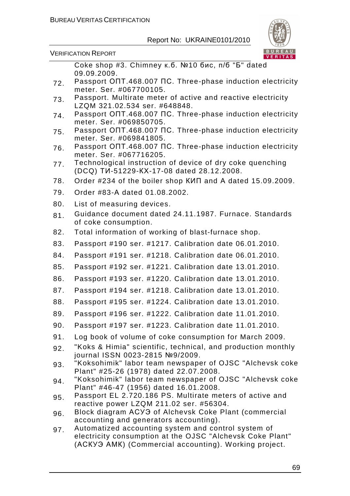

VERIFICATION REPORT

Coke shop #3. Chimney к.б. №10 бис, п/б "Б" dated 09.09.2009.

- 72. Passport ОПТ.468.007 ПС. Three-phase induction electricity meter. Ser. #067700105.
- 73. Passport. Multirate meter of active and reactive electricity LZQM 321.02.534 ser. #648848.
- 74. Passport ОПТ.468.007 ПС. Three-phase induction electricity meter. Ser. #069850705.
- 75. Passport ОПТ.468.007 ПС. Three-phase induction electricity meter. Ser. #069841805.
- 76. Passport ОПТ.468.007 ПС. Three-phase induction electricity meter. Ser. #067716205.
- 77. Technological instruction of device of dry coke quenching (DCQ) ТИ-51229-КХ-17-08 dated 28.12.2008.

78. Order #234 of the boiler shop КИП and А dated 15.09.2009.

- 79. Order #83-А dated 01.08.2002.
- 80. List of measuring devices.
- 81. Guidance document dated 24.11.1987. Furnace. Standards of coke consumption.
- 82. Total information of working of blast-furnace shop.
- 83. Passport #190 ser. #1217. Calibration date 06.01.2010.
- 84. Passport #191 ser. #1218. Calibration date 06.01.2010.
- 85. Passport #192 ser. #1221. Calibration date 13.01.2010.
- 86. Passport #193 ser. #1220. Calibration date 13.01.2010.
- 87. Passport #194 ser. #1218. Calibration date 13.01.2010.
- 88. Passport #195 ser. #1224. Calibration date 13.01.2010.
- 89. Passport #196 ser. #1222. Calibration date 11.01.2010.
- 90. Passport #197 ser. #1223. Calibration date 11.01.2010.
- 91. Log book of volume of coke consumption for March 2009.
- 92. "Koks & Himia" scientific, technical, and production monthly journal ISSN 0023-2815 №9/2009.
- 93. "Koksohimik" labor team newspaper of OJSC "Alchevsk coke Plant" #25-26 (1978) dated 22.07.2008.
- 94. "Koksohimik" labor team newspaper of OJSC "Alchevsk coke Plant" #46-47 (1956) dated 16.01.2008.
- 95. Passport EL 2.720.186 PS. Multirate meters of active and reactive power LZQM 211.02 ser. #56304.
- 96. Block diagram АСУЭ of Alchevsk Coke Plant (commercial accounting and generators accounting).
- 97. Automatized accounting system and control system of electricity consumption at the OJSC "Alchevsk Coke Plant" (АСКУЭ АМК) (Commercial accounting). Working project.